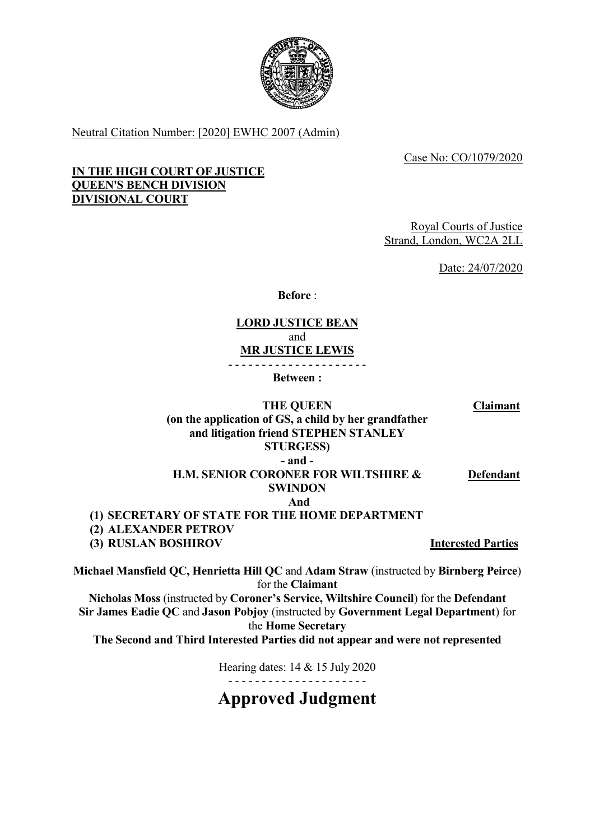

Neutral Citation Number: [2020] EWHC 2007 (Admin)

Case No: CO/1079/2020

# **IN THE HIGH COURT OF JUSTICE QUEEN'S BENCH DIVISION DIVISIONAL COURT**

Royal Courts of Justice Strand, London, WC2A 2LL

Date: 24/07/2020

**Before** :

# **LORD JUSTICE BEAN**

and

**MR JUSTICE LEWIS**

- - - - - - - - - - - - - - - - - - - - -

**Between :**

**Claimant**

# **THE QUEEN (on the application of GS, a child by her grandfather and litigation friend STEPHEN STANLEY STURGESS) - and -**

**H.M. SENIOR CORONER FOR WILTSHIRE & SWINDON**

*And* **(1) SECRETARY OF STATE FOR THE HOME DEPARTMENT**

**(2) ALEXANDER PETROV**

**(3) RUSLAN BOSHIROV Interested Parties**

**Michael Mansfield QC, Henrietta Hill QC** and **Adam Straw** (instructed by **Birnberg Peirce**) for the **Claimant**

**Nicholas Moss** (instructed by **Coroner's Service, Wiltshire Council**) for the **Defendant Sir James Eadie QC** and **Jason Pobjoy** (instructed by **Government Legal Department**) for the **Home Secretary**

**The Second and Third Interested Parties did not appear and were not represented**

Hearing dates: 14 & 15 July 2020 - - - - - - - - - - - - - - - - - - - - -

**Approved Judgment**

# **Defendant**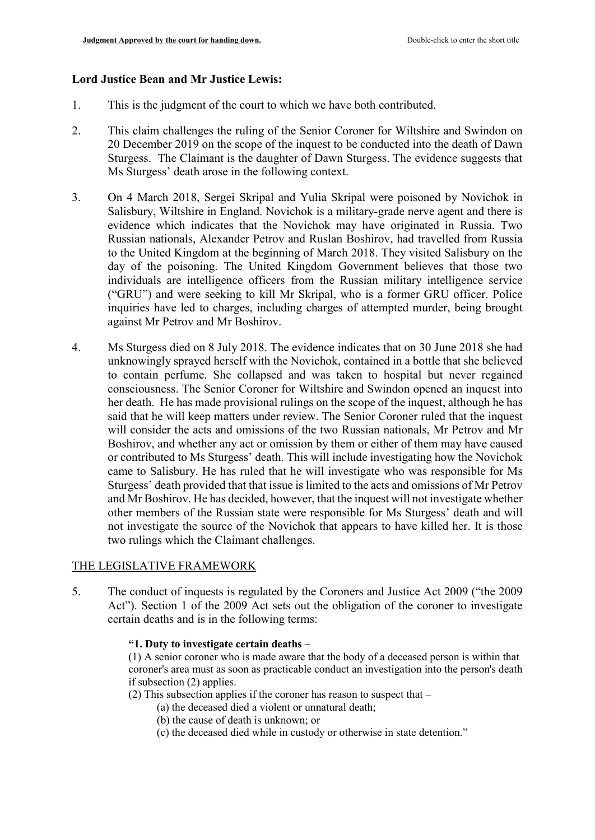#### **Lord Justice Bean and Mr Justice Lewis:**

- 1. This is the judgment of the court to which we have both contributed.
- 2. This claim challenges the ruling of the Senior Coroner for Wiltshire and Swindon on 20 December 2019 on the scope of the inquest to be conducted into the death of Dawn Sturgess. The Claimant is the daughter of Dawn Sturgess. The evidence suggests that Ms Sturgess' death arose in the following context.
- 3. On 4 March 2018, Sergei Skripal and Yulia Skripal were poisoned by Novichok in Salisbury, Wiltshire in England. Novichok is a military-grade nerve agent and there is evidence which indicates that the Novichok may have originated in Russia. Two Russian nationals, Alexander Petrov and Ruslan Boshirov, had travelled from Russia to the United Kingdom at the beginning of March 2018. They visited Salisbury on the day of the poisoning. The United Kingdom Government believes that those two individuals are intelligence officers from the Russian military intelligence service ("GRU") and were seeking to kill Mr Skripal, who is a former GRU officer. Police inquiries have led to charges, including charges of attempted murder, being brought against Mr Petrov and Mr Boshirov.
- 4. Ms Sturgess died on 8 July 2018. The evidence indicates that on 30 June 2018 she had unknowingly sprayed herself with the Novichok, contained in a bottle that she believed to contain perfume. She collapsed and was taken to hospital but never regained consciousness. The Senior Coroner for Wiltshire and Swindon opened an inquest into her death. He has made provisional rulings on the scope of the inquest, although he has said that he will keep matters under review. The Senior Coroner ruled that the inquest will consider the acts and omissions of the two Russian nationals, Mr Petrov and Mr Boshirov, and whether any act or omission by them or either of them may have caused or contributed to Ms Sturgess' death. This will include investigating how the Novichok came to Salisbury. He has ruled that he will investigate who was responsible for Ms Sturgess' death provided that that issue is limited to the acts and omissions of Mr Petrov and Mr Boshirov. He has decided, however, that the inquest will not investigate whether other members of the Russian state were responsible for Ms Sturgess' death and will not investigate the source of the Novichok that appears to have killed her. It is those two rulings which the Claimant challenges.

### THE LEGISLATIVE FRAMEWORK

- 5. The conduct of inquests is regulated by the Coroners and Justice Act 2009 ("the 2009 Act"). Section 1 of the 2009 Act sets out the obligation of the coroner to investigate certain deaths and is in the following terms:
	- **"1. Duty to investigate certain deaths –**

(1) A senior coroner who is made aware that the body of a deceased person is within that coroner's area must as soon as practicable conduct an investigation into the person's death if subsection (2) applies.

- (2) This subsection applies if the coroner has reason to suspect that
	- (a) the deceased died a violent or unnatural death;
		- (b) the cause of death is unknown; or
		- (c) the deceased died while in custody or otherwise in state detention."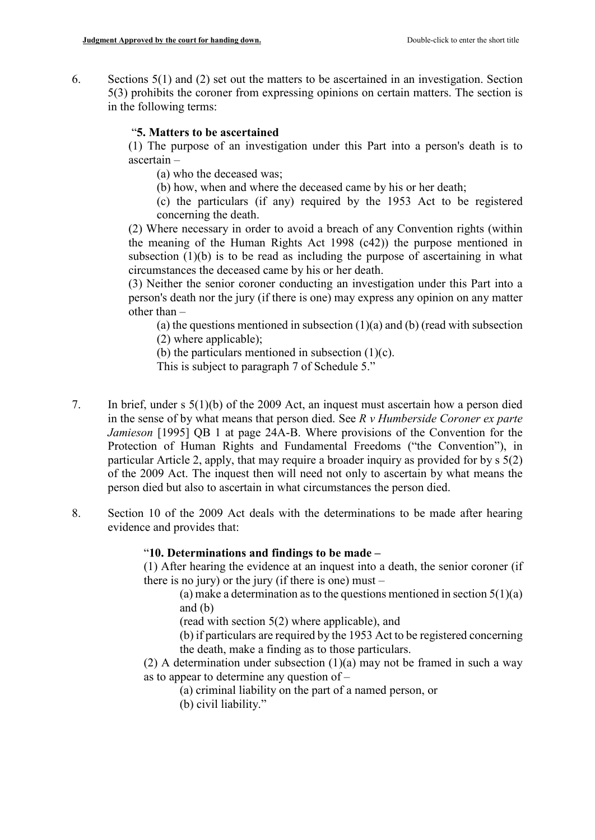6. Sections 5(1) and (2) set out the matters to be ascertained in an investigation. Section 5(3) prohibits the coroner from expressing opinions on certain matters. The section is in the following terms:

# "**5. Matters to be ascertained**

(1) The purpose of an investigation under this Part into a person's death is to ascertain –

(a) who the deceased was;

- (b) how, when and where the deceased came by his or her death;
- (c) the particulars (if any) required by the 1953 Act to be registered concerning the death.

(2) Where necessary in order to avoid a breach of any Convention rights (within the meaning of the Human Rights Act 1998 (c42)) the purpose mentioned in subsection (1)(b) is to be read as including the purpose of ascertaining in what circumstances the deceased came by his or her death.

(3) Neither the senior coroner conducting an investigation under this Part into a person's death nor the jury (if there is one) may express any opinion on any matter other than –

(a) the questions mentioned in subsection  $(1)(a)$  and  $(b)$  (read with subsection (2) where applicable);

(b) the particulars mentioned in subsection  $(1)(c)$ .

This is subject to paragraph 7 of Schedule 5."

- 7. In brief, under s 5(1)(b) of the 2009 Act, an inquest must ascertain how a person died in the sense of by what means that person died. See *R v Humberside Coroner ex parte Jamieson* [1995] QB 1 at page 24A-B. Where provisions of the Convention for the Protection of Human Rights and Fundamental Freedoms ("the Convention"), in particular Article 2, apply, that may require a broader inquiry as provided for by s 5(2) of the 2009 Act. The inquest then will need not only to ascertain by what means the person died but also to ascertain in what circumstances the person died.
- 8. Section 10 of the 2009 Act deals with the determinations to be made after hearing evidence and provides that:

# "**10. Determinations and findings to be made –**

(1) After hearing the evidence at an inquest into a death, the senior coroner (if there is no jury) or the jury (if there is one) must  $-$ 

(a) make a determination as to the questions mentioned in section  $5(1)(a)$ and (b)

(read with section 5(2) where applicable), and

(b) if particulars are required by the 1953 Act to be registered concerning the death, make a finding as to those particulars.

(2) A determination under subsection  $(1)(a)$  may not be framed in such a way as to appear to determine any question of –

- (a) criminal liability on the part of a named person, or
- (b) civil liability."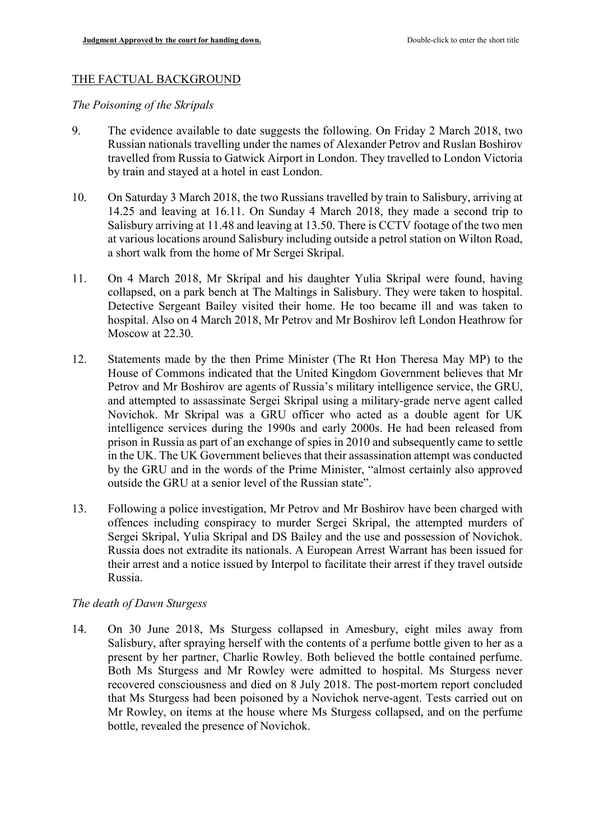### THE FACTUAL BACKGROUND

*The Poisoning of the Skripals*

- 9. The evidence available to date suggests the following. On Friday 2 March 2018, two Russian nationals travelling under the names of Alexander Petrov and Ruslan Boshirov travelled from Russia to Gatwick Airport in London. They travelled to London Victoria by train and stayed at a hotel in east London.
- 10. On Saturday 3 March 2018, the two Russians travelled by train to Salisbury, arriving at 14.25 and leaving at 16.11. On Sunday 4 March 2018, they made a second trip to Salisbury arriving at 11.48 and leaving at 13.50. There is CCTV footage of the two men at various locations around Salisbury including outside a petrol station on Wilton Road, a short walk from the home of Mr Sergei Skripal.
- 11. On 4 March 2018, Mr Skripal and his daughter Yulia Skripal were found, having collapsed, on a park bench at The Maltings in Salisbury. They were taken to hospital. Detective Sergeant Bailey visited their home. He too became ill and was taken to hospital. Also on 4 March 2018, Mr Petrov and Mr Boshirov left London Heathrow for Moscow at 22.30.
- 12. Statements made by the then Prime Minister (The Rt Hon Theresa May MP) to the House of Commons indicated that the United Kingdom Government believes that Mr Petrov and Mr Boshirov are agents of Russia's military intelligence service, the GRU, and attempted to assassinate Sergei Skripal using a military-grade nerve agent called Novichok. Mr Skripal was a GRU officer who acted as a double agent for UK intelligence services during the 1990s and early 2000s. He had been released from prison in Russia as part of an exchange of spies in 2010 and subsequently came to settle in the UK. The UK Government believes that their assassination attempt was conducted by the GRU and in the words of the Prime Minister, "almost certainly also approved outside the GRU at a senior level of the Russian state".
- 13. Following a police investigation, Mr Petrov and Mr Boshirov have been charged with offences including conspiracy to murder Sergei Skripal, the attempted murders of Sergei Skripal, Yulia Skripal and DS Bailey and the use and possession of Novichok. Russia does not extradite its nationals. A European Arrest Warrant has been issued for their arrest and a notice issued by Interpol to facilitate their arrest if they travel outside Russia.

### *The death of Dawn Sturgess*

14. On 30 June 2018, Ms Sturgess collapsed in Amesbury, eight miles away from Salisbury, after spraying herself with the contents of a perfume bottle given to her as a present by her partner, Charlie Rowley. Both believed the bottle contained perfume. Both Ms Sturgess and Mr Rowley were admitted to hospital. Ms Sturgess never recovered consciousness and died on 8 July 2018. The post-mortem report concluded that Ms Sturgess had been poisoned by a Novichok nerve-agent. Tests carried out on Mr Rowley, on items at the house where Ms Sturgess collapsed, and on the perfume bottle, revealed the presence of Novichok.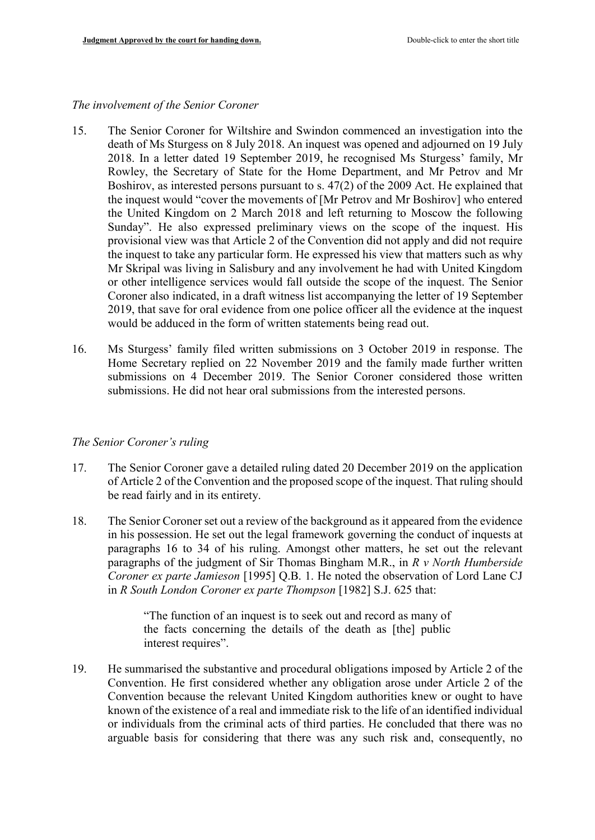#### *The involvement of the Senior Coroner*

- 15. The Senior Coroner for Wiltshire and Swindon commenced an investigation into the death of Ms Sturgess on 8 July 2018. An inquest was opened and adjourned on 19 July 2018. In a letter dated 19 September 2019, he recognised Ms Sturgess' family, Mr Rowley, the Secretary of State for the Home Department, and Mr Petrov and Mr Boshirov, as interested persons pursuant to s. 47(2) of the 2009 Act. He explained that the inquest would "cover the movements of [Mr Petrov and Mr Boshirov] who entered the United Kingdom on 2 March 2018 and left returning to Moscow the following Sunday". He also expressed preliminary views on the scope of the inquest. His provisional view was that Article 2 of the Convention did not apply and did not require the inquest to take any particular form. He expressed his view that matters such as why Mr Skripal was living in Salisbury and any involvement he had with United Kingdom or other intelligence services would fall outside the scope of the inquest. The Senior Coroner also indicated, in a draft witness list accompanying the letter of 19 September 2019, that save for oral evidence from one police officer all the evidence at the inquest would be adduced in the form of written statements being read out.
- 16. Ms Sturgess' family filed written submissions on 3 October 2019 in response. The Home Secretary replied on 22 November 2019 and the family made further written submissions on 4 December 2019. The Senior Coroner considered those written submissions. He did not hear oral submissions from the interested persons.

### *The Senior Coroner's ruling*

- 17. The Senior Coroner gave a detailed ruling dated 20 December 2019 on the application of Article 2 of the Convention and the proposed scope of the inquest. That ruling should be read fairly and in its entirety.
- 18. The Senior Coroner set out a review of the background as it appeared from the evidence in his possession. He set out the legal framework governing the conduct of inquests at paragraphs 16 to 34 of his ruling. Amongst other matters, he set out the relevant paragraphs of the judgment of Sir Thomas Bingham M.R., in *R v North Humberside Coroner ex parte Jamieson* [1995] Q.B. 1. He noted the observation of Lord Lane CJ in *R South London Coroner ex parte Thompson* [1982] S.J. 625 that:

"The function of an inquest is to seek out and record as many of the facts concerning the details of the death as [the] public interest requires".

19. He summarised the substantive and procedural obligations imposed by Article 2 of the Convention. He first considered whether any obligation arose under Article 2 of the Convention because the relevant United Kingdom authorities knew or ought to have known of the existence of a real and immediate risk to the life of an identified individual or individuals from the criminal acts of third parties. He concluded that there was no arguable basis for considering that there was any such risk and, consequently, no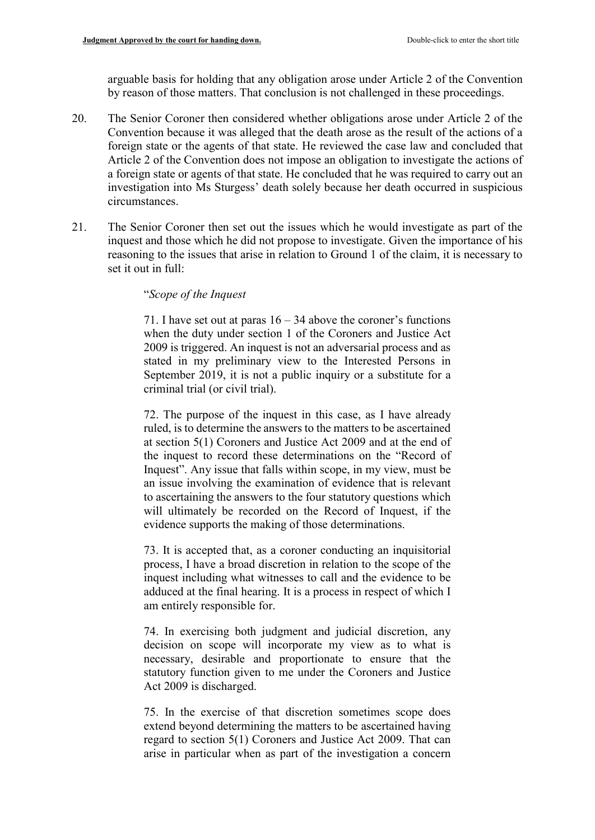arguable basis for holding that any obligation arose under Article 2 of the Convention by reason of those matters. That conclusion is not challenged in these proceedings.

- 20. The Senior Coroner then considered whether obligations arose under Article 2 of the Convention because it was alleged that the death arose as the result of the actions of a foreign state or the agents of that state. He reviewed the case law and concluded that Article 2 of the Convention does not impose an obligation to investigate the actions of a foreign state or agents of that state. He concluded that he was required to carry out an investigation into Ms Sturgess' death solely because her death occurred in suspicious circumstances.
- 21. The Senior Coroner then set out the issues which he would investigate as part of the inquest and those which he did not propose to investigate. Given the importance of his reasoning to the issues that arise in relation to Ground 1 of the claim, it is necessary to set it out in full:

### "*Scope of the Inquest*

71. I have set out at paras  $16 - 34$  above the coroner's functions when the duty under section 1 of the Coroners and Justice Act 2009 is triggered. An inquest is not an adversarial process and as stated in my preliminary view to the Interested Persons in September 2019, it is not a public inquiry or a substitute for a criminal trial (or civil trial).

72. The purpose of the inquest in this case, as I have already ruled, is to determine the answers to the matters to be ascertained at section 5(1) Coroners and Justice Act 2009 and at the end of the inquest to record these determinations on the "Record of Inquest". Any issue that falls within scope, in my view, must be an issue involving the examination of evidence that is relevant to ascertaining the answers to the four statutory questions which will ultimately be recorded on the Record of Inquest, if the evidence supports the making of those determinations.

73. It is accepted that, as a coroner conducting an inquisitorial process, I have a broad discretion in relation to the scope of the inquest including what witnesses to call and the evidence to be adduced at the final hearing. It is a process in respect of which I am entirely responsible for.

74. In exercising both judgment and judicial discretion, any decision on scope will incorporate my view as to what is necessary, desirable and proportionate to ensure that the statutory function given to me under the Coroners and Justice Act 2009 is discharged.

75. In the exercise of that discretion sometimes scope does extend beyond determining the matters to be ascertained having regard to section 5(1) Coroners and Justice Act 2009. That can arise in particular when as part of the investigation a concern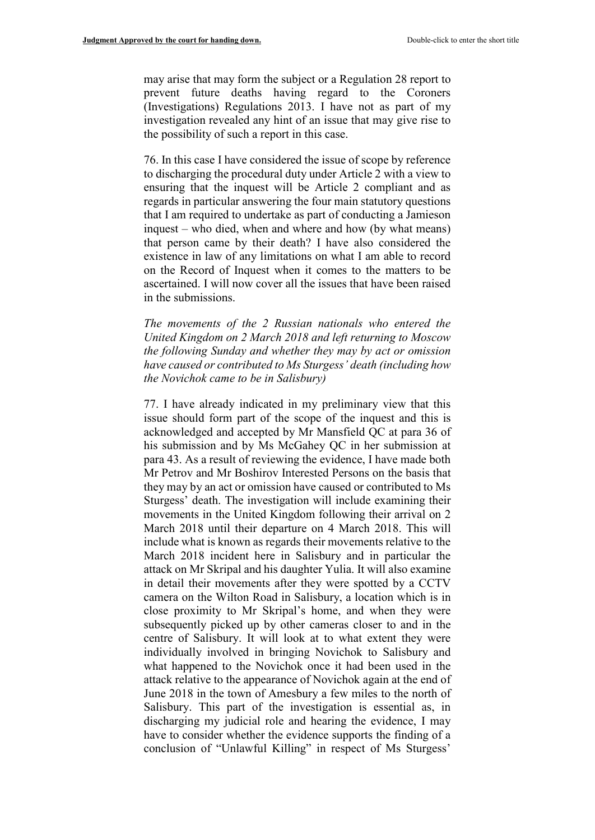may arise that may form the subject or a Regulation 28 report to prevent future deaths having regard to the Coroners (Investigations) Regulations 2013. I have not as part of my investigation revealed any hint of an issue that may give rise to the possibility of such a report in this case.

76. In this case I have considered the issue of scope by reference to discharging the procedural duty under Article 2 with a view to ensuring that the inquest will be Article 2 compliant and as regards in particular answering the four main statutory questions that I am required to undertake as part of conducting a Jamieson inquest – who died, when and where and how (by what means) that person came by their death? I have also considered the existence in law of any limitations on what I am able to record on the Record of Inquest when it comes to the matters to be ascertained. I will now cover all the issues that have been raised in the submissions.

*The movements of the 2 Russian nationals who entered the United Kingdom on 2 March 2018 and left returning to Moscow the following Sunday and whether they may by act or omission have caused or contributed to Ms Sturgess' death (including how the Novichok came to be in Salisbury)*

77. I have already indicated in my preliminary view that this issue should form part of the scope of the inquest and this is acknowledged and accepted by Mr Mansfield QC at para 36 of his submission and by Ms McGahey QC in her submission at para 43. As a result of reviewing the evidence, I have made both Mr Petrov and Mr Boshirov Interested Persons on the basis that they may by an act or omission have caused or contributed to Ms Sturgess' death. The investigation will include examining their movements in the United Kingdom following their arrival on 2 March 2018 until their departure on 4 March 2018. This will include what is known as regards their movements relative to the March 2018 incident here in Salisbury and in particular the attack on Mr Skripal and his daughter Yulia. It will also examine in detail their movements after they were spotted by a CCTV camera on the Wilton Road in Salisbury, a location which is in close proximity to Mr Skripal's home, and when they were subsequently picked up by other cameras closer to and in the centre of Salisbury. It will look at to what extent they were individually involved in bringing Novichok to Salisbury and what happened to the Novichok once it had been used in the attack relative to the appearance of Novichok again at the end of June 2018 in the town of Amesbury a few miles to the north of Salisbury. This part of the investigation is essential as, in discharging my judicial role and hearing the evidence, I may have to consider whether the evidence supports the finding of a conclusion of "Unlawful Killing" in respect of Ms Sturgess'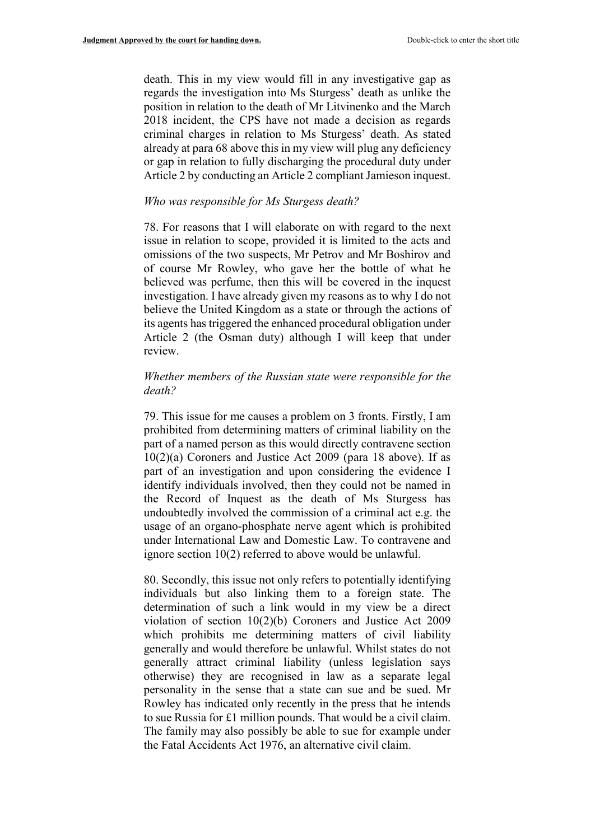death. This in my view would fill in any investigative gap as regards the investigation into Ms Sturgess' death as unlike the position in relation to the death of Mr Litvinenko and the March 2018 incident, the CPS have not made a decision as regards criminal charges in relation to Ms Sturgess' death. As stated already at para 68 above this in my view will plug any deficiency or gap in relation to fully discharging the procedural duty under Article 2 by conducting an Article 2 compliant Jamieson inquest.

#### *Who was responsible for Ms Sturgess death?*

78. For reasons that I will elaborate on with regard to the next issue in relation to scope, provided it is limited to the acts and omissions of the two suspects, Mr Petrov and Mr Boshirov and of course Mr Rowley, who gave her the bottle of what he believed was perfume, then this will be covered in the inquest investigation. I have already given my reasons as to why I do not believe the United Kingdom as a state or through the actions of its agents has triggered the enhanced procedural obligation under Article 2 (the Osman duty) although I will keep that under review.

#### *Whether members of the Russian state were responsible for the death?*

79. This issue for me causes a problem on 3 fronts. Firstly, I am prohibited from determining matters of criminal liability on the part of a named person as this would directly contravene section 10(2)(a) Coroners and Justice Act 2009 (para 18 above). If as part of an investigation and upon considering the evidence I identify individuals involved, then they could not be named in the Record of Inquest as the death of Ms Sturgess has undoubtedly involved the commission of a criminal act e.g. the usage of an organo-phosphate nerve agent which is prohibited under International Law and Domestic Law. To contravene and ignore section 10(2) referred to above would be unlawful.

80. Secondly, this issue not only refers to potentially identifying individuals but also linking them to a foreign state. The determination of such a link would in my view be a direct violation of section 10(2)(b) Coroners and Justice Act 2009 which prohibits me determining matters of civil liability generally and would therefore be unlawful. Whilst states do not generally attract criminal liability (unless legislation says otherwise) they are recognised in law as a separate legal personality in the sense that a state can sue and be sued. Mr Rowley has indicated only recently in the press that he intends to sue Russia for £1 million pounds. That would be a civil claim. The family may also possibly be able to sue for example under the Fatal Accidents Act 1976, an alternative civil claim.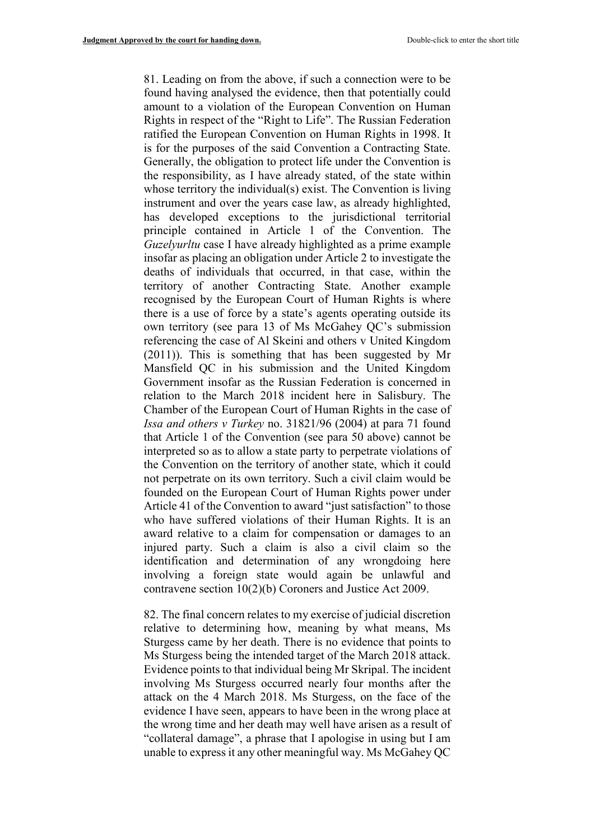81. Leading on from the above, if such a connection were to be found having analysed the evidence, then that potentially could amount to a violation of the European Convention on Human Rights in respect of the "Right to Life". The Russian Federation ratified the European Convention on Human Rights in 1998. It is for the purposes of the said Convention a Contracting State. Generally, the obligation to protect life under the Convention is the responsibility, as I have already stated, of the state within whose territory the individual(s) exist. The Convention is living instrument and over the years case law, as already highlighted, has developed exceptions to the jurisdictional territorial principle contained in Article 1 of the Convention. The *Guzelyurltu* case I have already highlighted as a prime example insofar as placing an obligation under Article 2 to investigate the deaths of individuals that occurred, in that case, within the territory of another Contracting State. Another example recognised by the European Court of Human Rights is where there is a use of force by a state's agents operating outside its own territory (see para 13 of Ms McGahey QC's submission referencing the case of Al Skeini and others v United Kingdom (2011)). This is something that has been suggested by Mr Mansfield QC in his submission and the United Kingdom Government insofar as the Russian Federation is concerned in relation to the March 2018 incident here in Salisbury. The Chamber of the European Court of Human Rights in the case of *Issa and others v Turkey* no. 31821/96 (2004) at para 71 found that Article 1 of the Convention (see para 50 above) cannot be interpreted so as to allow a state party to perpetrate violations of the Convention on the territory of another state, which it could not perpetrate on its own territory. Such a civil claim would be founded on the European Court of Human Rights power under Article 41 of the Convention to award "just satisfaction" to those who have suffered violations of their Human Rights. It is an award relative to a claim for compensation or damages to an injured party. Such a claim is also a civil claim so the identification and determination of any wrongdoing here involving a foreign state would again be unlawful and contravene section 10(2)(b) Coroners and Justice Act 2009.

82. The final concern relates to my exercise of judicial discretion relative to determining how, meaning by what means, Ms Sturgess came by her death. There is no evidence that points to Ms Sturgess being the intended target of the March 2018 attack. Evidence points to that individual being Mr Skripal. The incident involving Ms Sturgess occurred nearly four months after the attack on the 4 March 2018. Ms Sturgess, on the face of the evidence I have seen, appears to have been in the wrong place at the wrong time and her death may well have arisen as a result of "collateral damage", a phrase that I apologise in using but I am unable to express it any other meaningful way. Ms McGahey QC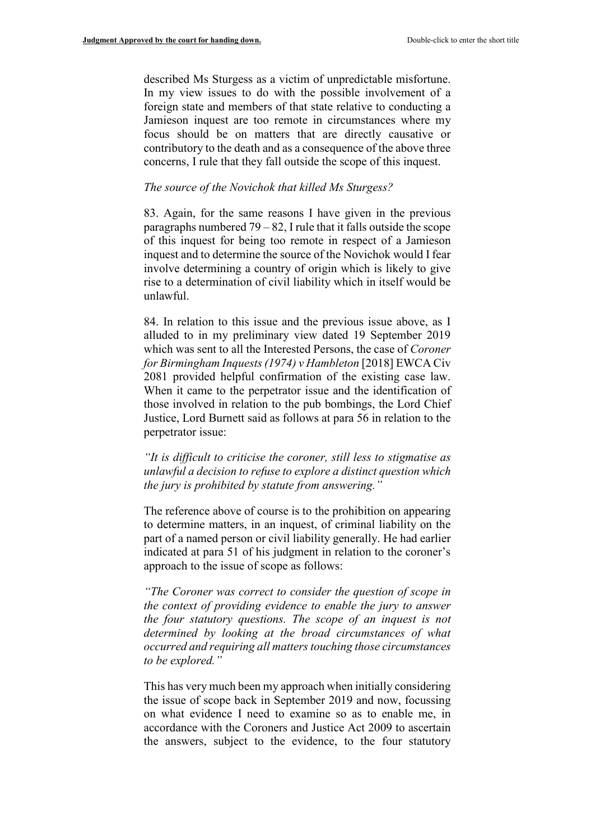described Ms Sturgess as a victim of unpredictable misfortune. In my view issues to do with the possible involvement of a foreign state and members of that state relative to conducting a Jamieson inquest are too remote in circumstances where my focus should be on matters that are directly causative or contributory to the death and as a consequence of the above three concerns, I rule that they fall outside the scope of this inquest.

#### *The source of the Novichok that killed Ms Sturgess?*

83. Again, for the same reasons I have given in the previous paragraphs numbered  $79 - 82$ , I rule that it falls outside the scope of this inquest for being too remote in respect of a Jamieson inquest and to determine the source of the Novichok would I fear involve determining a country of origin which is likely to give rise to a determination of civil liability which in itself would be unlawful.

84. In relation to this issue and the previous issue above, as I alluded to in my preliminary view dated 19 September 2019 which was sent to all the Interested Persons, the case of *Coroner for Birmingham Inquests (1974) v Hambleton* [2018] EWCA Civ 2081 provided helpful confirmation of the existing case law. When it came to the perpetrator issue and the identification of those involved in relation to the pub bombings, the Lord Chief Justice, Lord Burnett said as follows at para 56 in relation to the perpetrator issue:

*"It is difficult to criticise the coroner, still less to stigmatise as unlawful a decision to refuse to explore a distinct question which the jury is prohibited by statute from answering."*

The reference above of course is to the prohibition on appearing to determine matters, in an inquest, of criminal liability on the part of a named person or civil liability generally. He had earlier indicated at para 51 of his judgment in relation to the coroner's approach to the issue of scope as follows:

*"The Coroner was correct to consider the question of scope in the context of providing evidence to enable the jury to answer the four statutory questions. The scope of an inquest is not determined by looking at the broad circumstances of what occurred and requiring all matters touching those circumstances to be explored."*

This has very much been my approach when initially considering the issue of scope back in September 2019 and now, focussing on what evidence I need to examine so as to enable me, in accordance with the Coroners and Justice Act 2009 to ascertain the answers, subject to the evidence, to the four statutory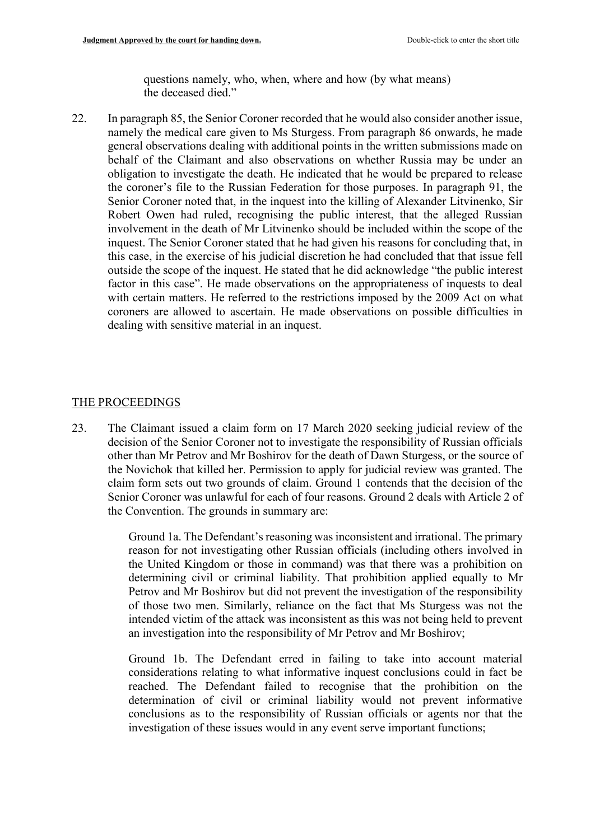questions namely, who, when, where and how (by what means) the deceased died."

22. In paragraph 85, the Senior Coroner recorded that he would also consider another issue, namely the medical care given to Ms Sturgess. From paragraph 86 onwards, he made general observations dealing with additional points in the written submissions made on behalf of the Claimant and also observations on whether Russia may be under an obligation to investigate the death. He indicated that he would be prepared to release the coroner's file to the Russian Federation for those purposes. In paragraph 91, the Senior Coroner noted that, in the inquest into the killing of Alexander Litvinenko, Sir Robert Owen had ruled, recognising the public interest, that the alleged Russian involvement in the death of Mr Litvinenko should be included within the scope of the inquest. The Senior Coroner stated that he had given his reasons for concluding that, in this case, in the exercise of his judicial discretion he had concluded that that issue fell outside the scope of the inquest. He stated that he did acknowledge "the public interest factor in this case". He made observations on the appropriateness of inquests to deal with certain matters. He referred to the restrictions imposed by the 2009 Act on what coroners are allowed to ascertain. He made observations on possible difficulties in dealing with sensitive material in an inquest.

#### THE PROCEEDINGS

23. The Claimant issued a claim form on 17 March 2020 seeking judicial review of the decision of the Senior Coroner not to investigate the responsibility of Russian officials other than Mr Petrov and Mr Boshirov for the death of Dawn Sturgess, or the source of the Novichok that killed her. Permission to apply for judicial review was granted. The claim form sets out two grounds of claim. Ground 1 contends that the decision of the Senior Coroner was unlawful for each of four reasons. Ground 2 deals with Article 2 of the Convention. The grounds in summary are:

> Ground 1a. The Defendant's reasoning was inconsistent and irrational. The primary reason for not investigating other Russian officials (including others involved in the United Kingdom or those in command) was that there was a prohibition on determining civil or criminal liability. That prohibition applied equally to Mr Petrov and Mr Boshirov but did not prevent the investigation of the responsibility of those two men. Similarly, reliance on the fact that Ms Sturgess was not the intended victim of the attack was inconsistent as this was not being held to prevent an investigation into the responsibility of Mr Petrov and Mr Boshirov;

> Ground 1b. The Defendant erred in failing to take into account material considerations relating to what informative inquest conclusions could in fact be reached. The Defendant failed to recognise that the prohibition on the determination of civil or criminal liability would not prevent informative conclusions as to the responsibility of Russian officials or agents nor that the investigation of these issues would in any event serve important functions;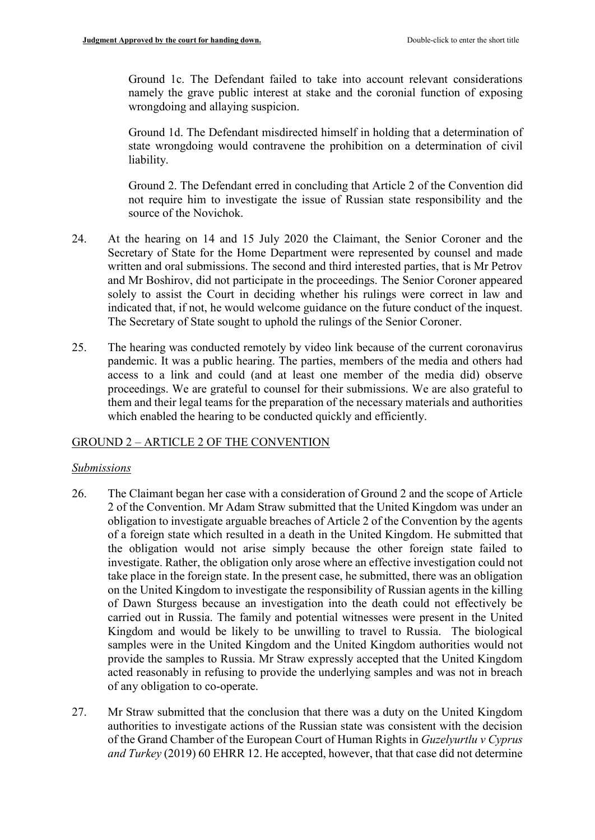Ground 1c. The Defendant failed to take into account relevant considerations namely the grave public interest at stake and the coronial function of exposing wrongdoing and allaying suspicion.

Ground 1d. The Defendant misdirected himself in holding that a determination of state wrongdoing would contravene the prohibition on a determination of civil liability.

Ground 2. The Defendant erred in concluding that Article 2 of the Convention did not require him to investigate the issue of Russian state responsibility and the source of the Novichok.

- 24. At the hearing on 14 and 15 July 2020 the Claimant, the Senior Coroner and the Secretary of State for the Home Department were represented by counsel and made written and oral submissions. The second and third interested parties, that is Mr Petrov and Mr Boshirov, did not participate in the proceedings. The Senior Coroner appeared solely to assist the Court in deciding whether his rulings were correct in law and indicated that, if not, he would welcome guidance on the future conduct of the inquest. The Secretary of State sought to uphold the rulings of the Senior Coroner.
- 25. The hearing was conducted remotely by video link because of the current coronavirus pandemic. It was a public hearing. The parties, members of the media and others had access to a link and could (and at least one member of the media did) observe proceedings. We are grateful to counsel for their submissions. We are also grateful to them and their legal teams for the preparation of the necessary materials and authorities which enabled the hearing to be conducted quickly and efficiently.

# GROUND 2 – ARTICLE 2 OF THE CONVENTION

### *Submissions*

- 26. The Claimant began her case with a consideration of Ground 2 and the scope of Article 2 of the Convention. Mr Adam Straw submitted that the United Kingdom was under an obligation to investigate arguable breaches of Article 2 of the Convention by the agents of a foreign state which resulted in a death in the United Kingdom. He submitted that the obligation would not arise simply because the other foreign state failed to investigate. Rather, the obligation only arose where an effective investigation could not take place in the foreign state. In the present case, he submitted, there was an obligation on the United Kingdom to investigate the responsibility of Russian agents in the killing of Dawn Sturgess because an investigation into the death could not effectively be carried out in Russia. The family and potential witnesses were present in the United Kingdom and would be likely to be unwilling to travel to Russia. The biological samples were in the United Kingdom and the United Kingdom authorities would not provide the samples to Russia. Mr Straw expressly accepted that the United Kingdom acted reasonably in refusing to provide the underlying samples and was not in breach of any obligation to co-operate.
- 27. Mr Straw submitted that the conclusion that there was a duty on the United Kingdom authorities to investigate actions of the Russian state was consistent with the decision of the Grand Chamber of the European Court of Human Rights in *Guzelyurtlu v Cyprus and Turkey* (2019) 60 EHRR 12. He accepted, however, that that case did not determine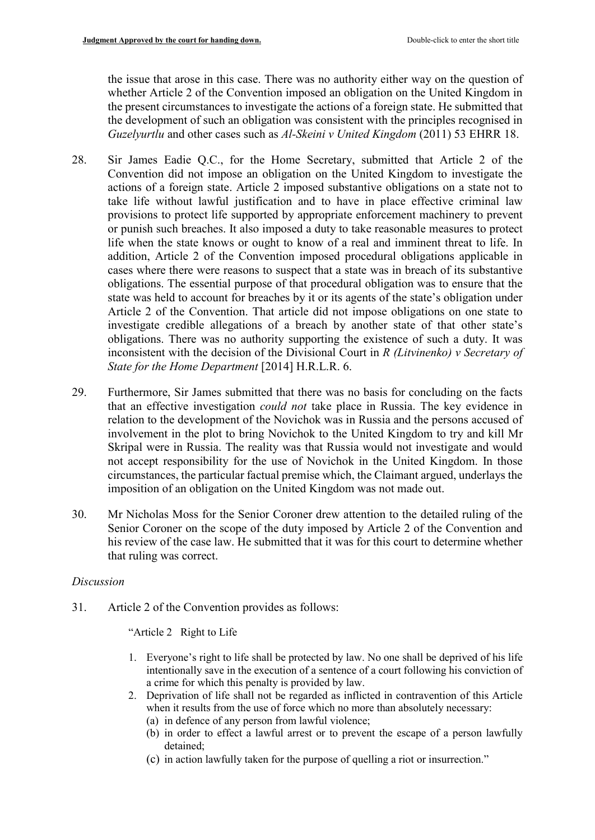the issue that arose in this case. There was no authority either way on the question of whether Article 2 of the Convention imposed an obligation on the United Kingdom in the present circumstances to investigate the actions of a foreign state. He submitted that the development of such an obligation was consistent with the principles recognised in *Guzelyurtlu* and other cases such as *Al-Skeini v United Kingdom* (2011) 53 EHRR 18.

- 28. Sir James Eadie Q.C., for the Home Secretary, submitted that Article 2 of the Convention did not impose an obligation on the United Kingdom to investigate the actions of a foreign state. Article 2 imposed substantive obligations on a state not to take life without lawful justification and to have in place effective criminal law provisions to protect life supported by appropriate enforcement machinery to prevent or punish such breaches. It also imposed a duty to take reasonable measures to protect life when the state knows or ought to know of a real and imminent threat to life. In addition, Article 2 of the Convention imposed procedural obligations applicable in cases where there were reasons to suspect that a state was in breach of its substantive obligations. The essential purpose of that procedural obligation was to ensure that the state was held to account for breaches by it or its agents of the state's obligation under Article 2 of the Convention. That article did not impose obligations on one state to investigate credible allegations of a breach by another state of that other state's obligations. There was no authority supporting the existence of such a duty. It was inconsistent with the decision of the Divisional Court in *R (Litvinenko) v Secretary of State for the Home Department* [2014] H.R.L.R. 6.
- 29. Furthermore, Sir James submitted that there was no basis for concluding on the facts that an effective investigation *could not* take place in Russia. The key evidence in relation to the development of the Novichok was in Russia and the persons accused of involvement in the plot to bring Novichok to the United Kingdom to try and kill Mr Skripal were in Russia. The reality was that Russia would not investigate and would not accept responsibility for the use of Novichok in the United Kingdom. In those circumstances, the particular factual premise which, the Claimant argued, underlays the imposition of an obligation on the United Kingdom was not made out.
- 30. Mr Nicholas Moss for the Senior Coroner drew attention to the detailed ruling of the Senior Coroner on the scope of the duty imposed by Article 2 of the Convention and his review of the case law. He submitted that it was for this court to determine whether that ruling was correct.

# *Discussion*

31. Article 2 of the Convention provides as follows:

"Article 2 Right to Life

- 1. Everyone's right to life shall be protected by law. No one shall be deprived of his life intentionally save in the execution of a sentence of a court following his conviction of a crime for which this penalty is provided by law.
- 2. Deprivation of life shall not be regarded as inflicted in contravention of this Article when it results from the use of force which no more than absolutely necessary:
	- (a) in defence of any person from lawful violence;
	- (b) in order to effect a lawful arrest or to prevent the escape of a person lawfully detained;
	- (c) in action lawfully taken for the purpose of quelling a riot or insurrection."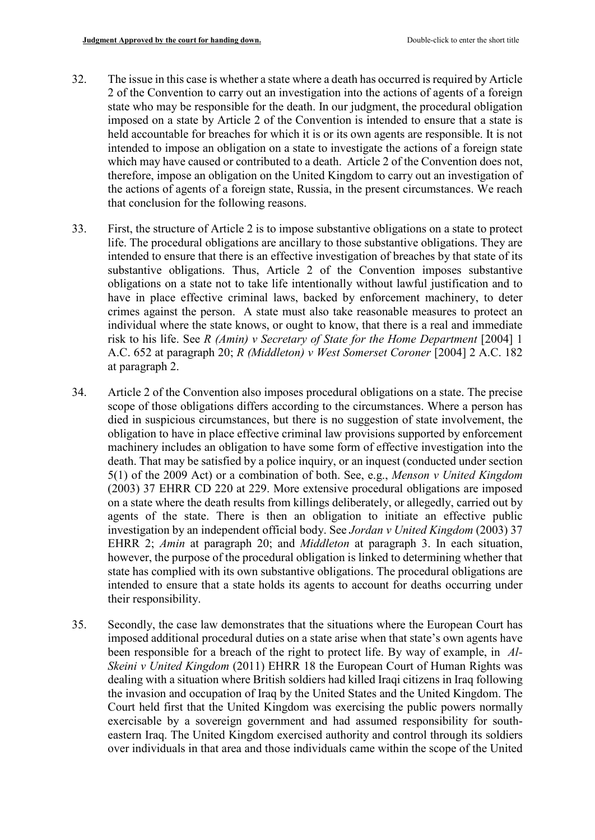- 32. The issue in this case is whether a state where a death has occurred is required by Article 2 of the Convention to carry out an investigation into the actions of agents of a foreign state who may be responsible for the death. In our judgment, the procedural obligation imposed on a state by Article 2 of the Convention is intended to ensure that a state is held accountable for breaches for which it is or its own agents are responsible. It is not intended to impose an obligation on a state to investigate the actions of a foreign state which may have caused or contributed to a death. Article 2 of the Convention does not, therefore, impose an obligation on the United Kingdom to carry out an investigation of the actions of agents of a foreign state, Russia, in the present circumstances. We reach that conclusion for the following reasons.
- 33. First, the structure of Article 2 is to impose substantive obligations on a state to protect life. The procedural obligations are ancillary to those substantive obligations. They are intended to ensure that there is an effective investigation of breaches by that state of its substantive obligations. Thus, Article 2 of the Convention imposes substantive obligations on a state not to take life intentionally without lawful justification and to have in place effective criminal laws, backed by enforcement machinery, to deter crimes against the person. A state must also take reasonable measures to protect an individual where the state knows, or ought to know, that there is a real and immediate risk to his life. See *R (Amin) v Secretary of State for the Home Department* [2004] 1 A.C. 652 at paragraph 20; *R (Middleton) v West Somerset Coroner* [2004] 2 A.C. 182 at paragraph 2.
- 34. Article 2 of the Convention also imposes procedural obligations on a state. The precise scope of those obligations differs according to the circumstances. Where a person has died in suspicious circumstances, but there is no suggestion of state involvement, the obligation to have in place effective criminal law provisions supported by enforcement machinery includes an obligation to have some form of effective investigation into the death. That may be satisfied by a police inquiry, or an inquest (conducted under section 5(1) of the 2009 Act) or a combination of both. See, e.g., *Menson v United Kingdom* (2003) 37 EHRR CD 220 at 229. More extensive procedural obligations are imposed on a state where the death results from killings deliberately, or allegedly, carried out by agents of the state. There is then an obligation to initiate an effective public investigation by an independent official body. See *Jordan v United Kingdom* (2003) 37 EHRR 2; *Amin* at paragraph 20; and *Middleton* at paragraph 3. In each situation, however, the purpose of the procedural obligation is linked to determining whether that state has complied with its own substantive obligations. The procedural obligations are intended to ensure that a state holds its agents to account for deaths occurring under their responsibility.
- 35. Secondly, the case law demonstrates that the situations where the European Court has imposed additional procedural duties on a state arise when that state's own agents have been responsible for a breach of the right to protect life. By way of example, in *Al-Skeini v United Kingdom* (2011) EHRR 18 the European Court of Human Rights was dealing with a situation where British soldiers had killed Iraqi citizens in Iraq following the invasion and occupation of Iraq by the United States and the United Kingdom. The Court held first that the United Kingdom was exercising the public powers normally exercisable by a sovereign government and had assumed responsibility for southeastern Iraq. The United Kingdom exercised authority and control through its soldiers over individuals in that area and those individuals came within the scope of the United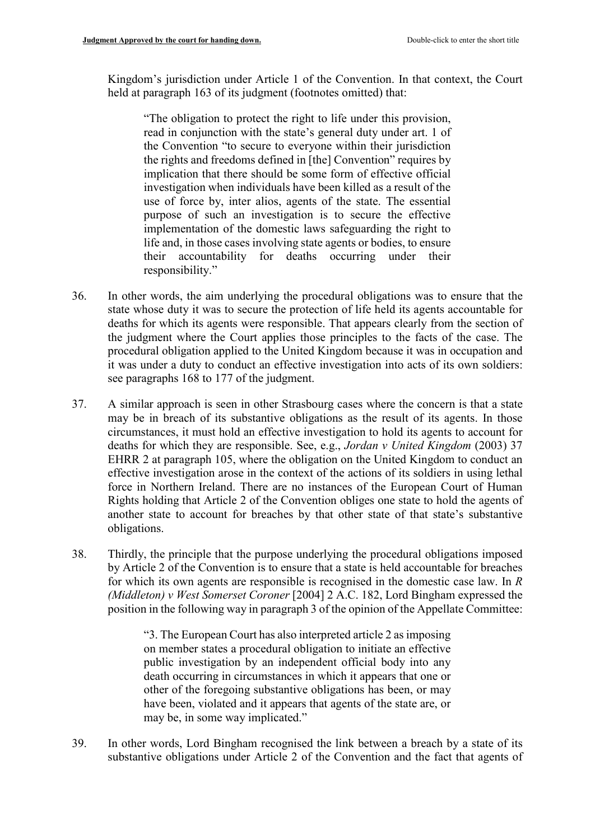Kingdom's jurisdiction under Article 1 of the Convention. In that context, the Court held at paragraph 163 of its judgment (footnotes omitted) that:

"The obligation to protect the right to life under this provision, read in conjunction with the state's general duty under art. 1 of the Convention "to secure to everyone within their jurisdiction the rights and freedoms defined in [the] Convention" requires by implication that there should be some form of effective official investigation when individuals have been killed as a result of the use of force by, inter alios, agents of the state. The essential purpose of such an investigation is to secure the effective implementation of the domestic laws safeguarding the right to life and, in those cases involving state agents or bodies, to ensure their accountability for deaths occurring under their responsibility."

- 36. In other words, the aim underlying the procedural obligations was to ensure that the state whose duty it was to secure the protection of life held its agents accountable for deaths for which its agents were responsible. That appears clearly from the section of the judgment where the Court applies those principles to the facts of the case. The procedural obligation applied to the United Kingdom because it was in occupation and it was under a duty to conduct an effective investigation into acts of its own soldiers: see paragraphs 168 to 177 of the judgment.
- 37. A similar approach is seen in other Strasbourg cases where the concern is that a state may be in breach of its substantive obligations as the result of its agents. In those circumstances, it must hold an effective investigation to hold its agents to account for deaths for which they are responsible. See, e.g., *Jordan v United Kingdom* (2003) 37 EHRR 2 at paragraph 105, where the obligation on the United Kingdom to conduct an effective investigation arose in the context of the actions of its soldiers in using lethal force in Northern Ireland. There are no instances of the European Court of Human Rights holding that Article 2 of the Convention obliges one state to hold the agents of another state to account for breaches by that other state of that state's substantive obligations.
- 38. Thirdly, the principle that the purpose underlying the procedural obligations imposed by Article 2 of the Convention is to ensure that a state is held accountable for breaches for which its own agents are responsible is recognised in the domestic case law. In *R (Middleton) v West Somerset Coroner* [2004] 2 A.C. 182, Lord Bingham expressed the position in the following way in paragraph 3 of the opinion of the Appellate Committee:

"3. The European Court has also interpreted article 2 as imposing on member states a procedural obligation to initiate an effective public investigation by an independent official body into any death occurring in circumstances in which it appears that one or other of the foregoing substantive obligations has been, or may have been, violated and it appears that agents of the state are, or may be, in some way implicated."

39. In other words, Lord Bingham recognised the link between a breach by a state of its substantive obligations under Article 2 of the Convention and the fact that agents of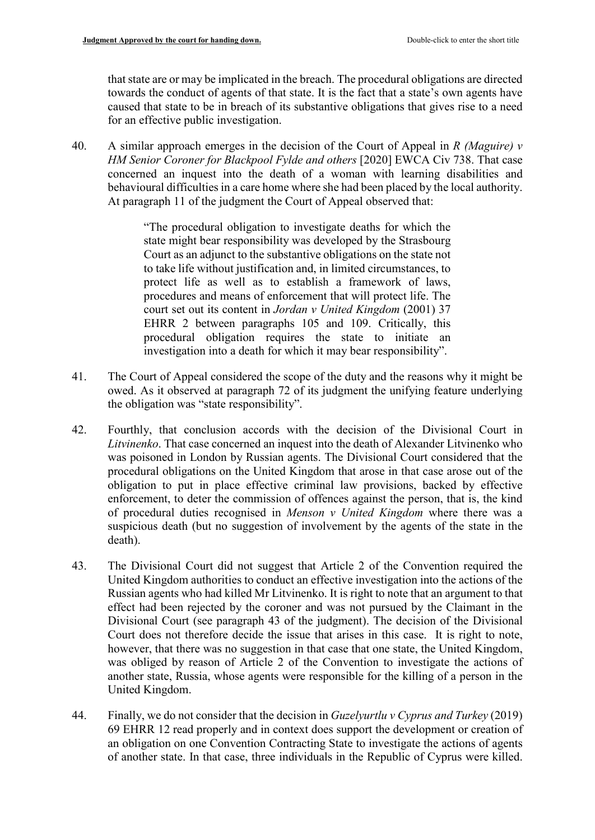that state are or may be implicated in the breach. The procedural obligations are directed towards the conduct of agents of that state. It is the fact that a state's own agents have caused that state to be in breach of its substantive obligations that gives rise to a need for an effective public investigation.

40. A similar approach emerges in the decision of the Court of Appeal in *R (Maguire) v HM Senior Coroner for Blackpool Fylde and others* [2020] EWCA Civ 738. That case concerned an inquest into the death of a woman with learning disabilities and behavioural difficulties in a care home where she had been placed by the local authority. At paragraph 11 of the judgment the Court of Appeal observed that:

> "The procedural obligation to investigate deaths for which the state might bear responsibility was developed by the Strasbourg Court as an adjunct to the substantive obligations on the state not to take life without justification and, in limited circumstances, to protect life as well as to establish a framework of laws, procedures and means of enforcement that will protect life. The court set out its content in *Jordan v United Kingdom* (2001) 37 EHRR 2 between paragraphs 105 and 109. Critically, this procedural obligation requires the state to initiate an investigation into a death for which it may bear responsibility".

- 41. The Court of Appeal considered the scope of the duty and the reasons why it might be owed. As it observed at paragraph 72 of its judgment the unifying feature underlying the obligation was "state responsibility".
- 42. Fourthly, that conclusion accords with the decision of the Divisional Court in *Litvinenko*. That case concerned an inquest into the death of Alexander Litvinenko who was poisoned in London by Russian agents. The Divisional Court considered that the procedural obligations on the United Kingdom that arose in that case arose out of the obligation to put in place effective criminal law provisions, backed by effective enforcement, to deter the commission of offences against the person, that is, the kind of procedural duties recognised in *Menson v United Kingdom* where there was a suspicious death (but no suggestion of involvement by the agents of the state in the death).
- 43. The Divisional Court did not suggest that Article 2 of the Convention required the United Kingdom authorities to conduct an effective investigation into the actions of the Russian agents who had killed Mr Litvinenko. It is right to note that an argument to that effect had been rejected by the coroner and was not pursued by the Claimant in the Divisional Court (see paragraph 43 of the judgment). The decision of the Divisional Court does not therefore decide the issue that arises in this case. It is right to note, however, that there was no suggestion in that case that one state, the United Kingdom, was obliged by reason of Article 2 of the Convention to investigate the actions of another state, Russia, whose agents were responsible for the killing of a person in the United Kingdom.
- 44. Finally, we do not consider that the decision in *Guzelyurtlu v Cyprus and Turkey* (2019) 69 EHRR 12 read properly and in context does support the development or creation of an obligation on one Convention Contracting State to investigate the actions of agents of another state. In that case, three individuals in the Republic of Cyprus were killed.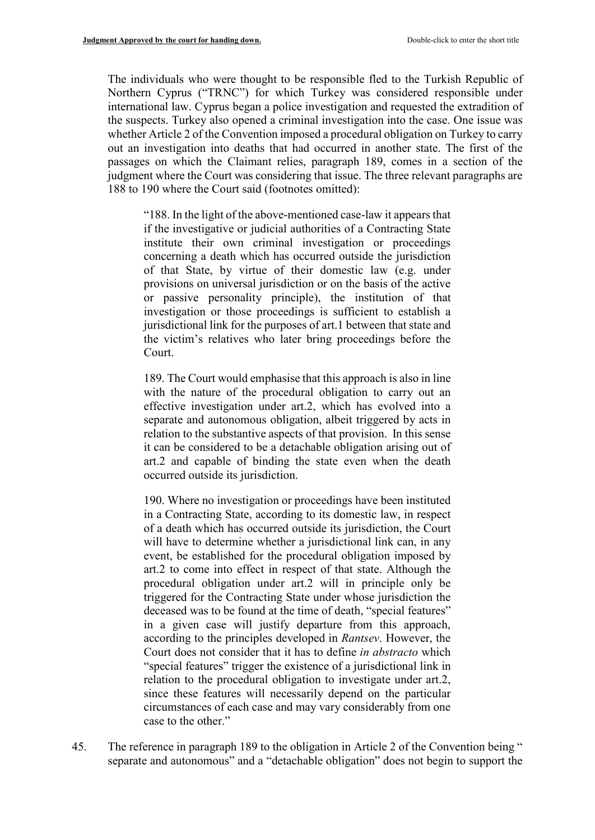The individuals who were thought to be responsible fled to the Turkish Republic of Northern Cyprus ("TRNC") for which Turkey was considered responsible under international law. Cyprus began a police investigation and requested the extradition of the suspects. Turkey also opened a criminal investigation into the case. One issue was whether Article 2 of the Convention imposed a procedural obligation on Turkey to carry out an investigation into deaths that had occurred in another state. The first of the passages on which the Claimant relies, paragraph 189, comes in a section of the judgment where the Court was considering that issue. The three relevant paragraphs are 188 to 190 where the Court said (footnotes omitted):

"188. In the light of the above-mentioned case-law it appears that if the investigative or judicial authorities of a Contracting State institute their own criminal investigation or proceedings concerning a death which has occurred outside the jurisdiction of that State, by virtue of their domestic law (e.g. under provisions on universal jurisdiction or on the basis of the active or passive personality principle), the institution of that investigation or those proceedings is sufficient to establish a jurisdictional link for the purposes of art.1 between that state and the victim's relatives who later bring proceedings before the Court.

189. The Court would emphasise that this approach is also in line with the nature of the procedural obligation to carry out an effective investigation under art.2, which has evolved into a separate and autonomous obligation, albeit triggered by acts in relation to the substantive aspects of that provision. In this sense it can be considered to be a detachable obligation arising out of art.2 and capable of binding the state even when the death occurred outside its jurisdiction.

190. Where no investigation or proceedings have been instituted in a Contracting State, according to its domestic law, in respect of a death which has occurred outside its jurisdiction, the Court will have to determine whether a jurisdictional link can, in any event, be established for the procedural obligation imposed by art.2 to come into effect in respect of that state. Although the procedural obligation under art.2 will in principle only be triggered for the Contracting State under whose jurisdiction the deceased was to be found at the time of death, "special features" in a given case will justify departure from this approach, according to the principles developed in *Rantsev*. However, the Court does not consider that it has to define *in abstracto* which "special features" trigger the existence of a jurisdictional link in relation to the procedural obligation to investigate under art.2, since these features will necessarily depend on the particular circumstances of each case and may vary considerably from one case to the other."

45. The reference in paragraph 189 to the obligation in Article 2 of the Convention being " separate and autonomous" and a "detachable obligation" does not begin to support the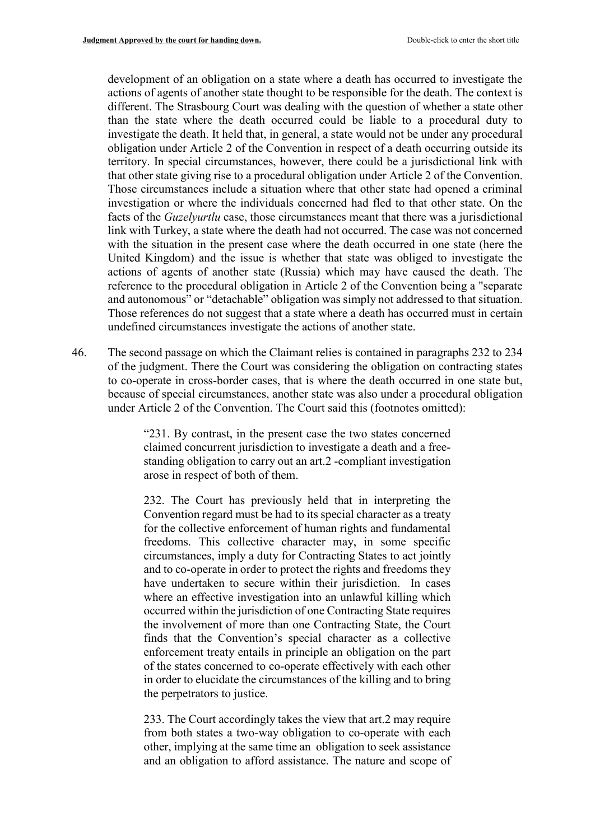development of an obligation on a state where a death has occurred to investigate the actions of agents of another state thought to be responsible for the death. The context is different. The Strasbourg Court was dealing with the question of whether a state other than the state where the death occurred could be liable to a procedural duty to investigate the death. It held that, in general, a state would not be under any procedural obligation under Article 2 of the Convention in respect of a death occurring outside its territory. In special circumstances, however, there could be a jurisdictional link with that other state giving rise to a procedural obligation under Article 2 of the Convention. Those circumstances include a situation where that other state had opened a criminal investigation or where the individuals concerned had fled to that other state. On the facts of the *Guzelyurtlu* case, those circumstances meant that there was a jurisdictional link with Turkey, a state where the death had not occurred. The case was not concerned with the situation in the present case where the death occurred in one state (here the United Kingdom) and the issue is whether that state was obliged to investigate the actions of agents of another state (Russia) which may have caused the death. The reference to the procedural obligation in Article 2 of the Convention being a "separate and autonomous" or "detachable" obligation was simply not addressed to that situation. Those references do not suggest that a state where a death has occurred must in certain undefined circumstances investigate the actions of another state.

46. The second passage on which the Claimant relies is contained in paragraphs 232 to 234 of the judgment. There the Court was considering the obligation on contracting states to co-operate in cross-border cases, that is where the death occurred in one state but, because of special circumstances, another state was also under a procedural obligation under Article 2 of the Convention. The Court said this (footnotes omitted):

> "231. By contrast, in the present case the two states concerned claimed concurrent jurisdiction to investigate a death and a freestanding obligation to carry out an art.2 -compliant investigation arose in respect of both of them.

> 232. The Court has previously held that in interpreting the Convention regard must be had to its special character as a treaty for the collective enforcement of human rights and fundamental freedoms. This collective character may, in some specific circumstances, imply a duty for Contracting States to act jointly and to co-operate in order to protect the rights and freedoms they have undertaken to secure within their jurisdiction. In cases where an effective investigation into an unlawful killing which occurred within the jurisdiction of one Contracting State requires the involvement of more than one Contracting State, the Court finds that the Convention's special character as a collective enforcement treaty entails in principle an obligation on the part of the states concerned to co-operate effectively with each other in order to elucidate the circumstances of the killing and to bring the perpetrators to justice.

> 233. The Court accordingly takes the view that art.2 may require from both states a two-way obligation to co-operate with each other, implying at the same time an obligation to seek assistance and an obligation to afford assistance. The nature and scope of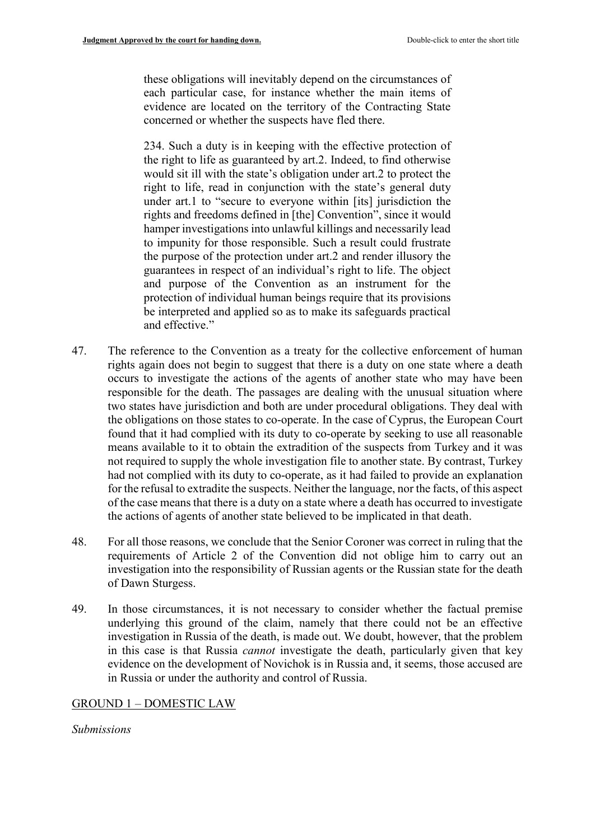these obligations will inevitably depend on the circumstances of each particular case, for instance whether the main items of evidence are located on the territory of the Contracting State concerned or whether the suspects have fled there.

234. Such a duty is in keeping with the effective protection of the right to life as guaranteed by art.2. Indeed, to find otherwise would sit ill with the state's obligation under art.2 to protect the right to life, read in conjunction with the state's general duty under art.1 to "secure to everyone within [its] jurisdiction the rights and freedoms defined in [the] Convention", since it would hamper investigations into unlawful killings and necessarily lead to impunity for those responsible. Such a result could frustrate the purpose of the protection under art.2 and render illusory the guarantees in respect of an individual's right to life. The object and purpose of the Convention as an instrument for the protection of individual human beings require that its provisions be interpreted and applied so as to make its safeguards practical and effective."

- 47. The reference to the Convention as a treaty for the collective enforcement of human rights again does not begin to suggest that there is a duty on one state where a death occurs to investigate the actions of the agents of another state who may have been responsible for the death. The passages are dealing with the unusual situation where two states have jurisdiction and both are under procedural obligations. They deal with the obligations on those states to co-operate. In the case of Cyprus, the European Court found that it had complied with its duty to co-operate by seeking to use all reasonable means available to it to obtain the extradition of the suspects from Turkey and it was not required to supply the whole investigation file to another state. By contrast, Turkey had not complied with its duty to co-operate, as it had failed to provide an explanation for the refusal to extradite the suspects. Neither the language, nor the facts, of this aspect of the case means that there is a duty on a state where a death has occurred to investigate the actions of agents of another state believed to be implicated in that death.
- 48. For all those reasons, we conclude that the Senior Coroner was correct in ruling that the requirements of Article 2 of the Convention did not oblige him to carry out an investigation into the responsibility of Russian agents or the Russian state for the death of Dawn Sturgess.
- 49. In those circumstances, it is not necessary to consider whether the factual premise underlying this ground of the claim, namely that there could not be an effective investigation in Russia of the death, is made out. We doubt, however, that the problem in this case is that Russia *cannot* investigate the death, particularly given that key evidence on the development of Novichok is in Russia and, it seems, those accused are in Russia or under the authority and control of Russia.

### GROUND 1 – DOMESTIC LAW

*Submissions*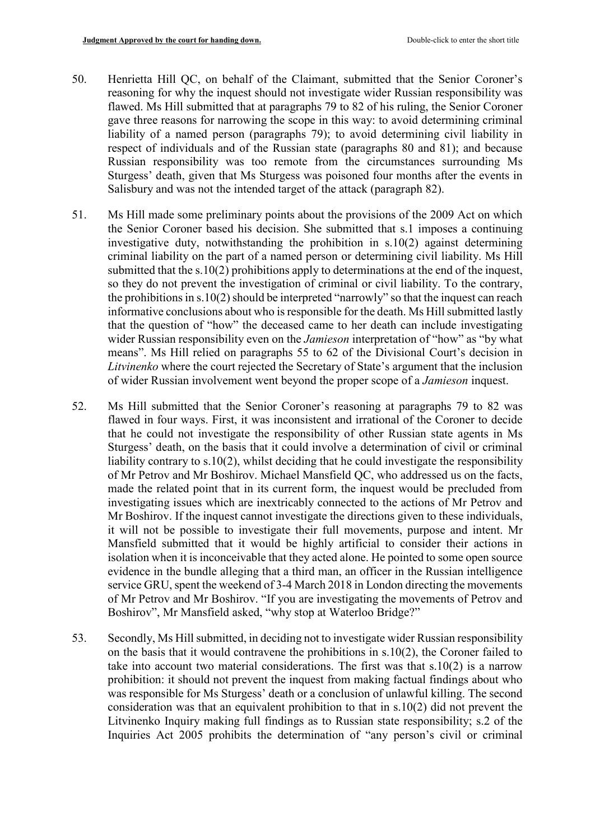- 50. Henrietta Hill QC, on behalf of the Claimant, submitted that the Senior Coroner's reasoning for why the inquest should not investigate wider Russian responsibility was flawed. Ms Hill submitted that at paragraphs 79 to 82 of his ruling, the Senior Coroner gave three reasons for narrowing the scope in this way: to avoid determining criminal liability of a named person (paragraphs 79); to avoid determining civil liability in respect of individuals and of the Russian state (paragraphs 80 and 81); and because Russian responsibility was too remote from the circumstances surrounding Ms Sturgess' death, given that Ms Sturgess was poisoned four months after the events in Salisbury and was not the intended target of the attack (paragraph 82).
- 51. Ms Hill made some preliminary points about the provisions of the 2009 Act on which the Senior Coroner based his decision. She submitted that s.1 imposes a continuing investigative duty, notwithstanding the prohibition in s.10(2) against determining criminal liability on the part of a named person or determining civil liability. Ms Hill submitted that the s.10(2) prohibitions apply to determinations at the end of the inquest, so they do not prevent the investigation of criminal or civil liability. To the contrary, the prohibitions in s.10(2) should be interpreted "narrowly" so that the inquest can reach informative conclusions about who is responsible for the death. Ms Hill submitted lastly that the question of "how" the deceased came to her death can include investigating wider Russian responsibility even on the *Jamieson* interpretation of "how" as "by what means". Ms Hill relied on paragraphs 55 to 62 of the Divisional Court's decision in *Litvinenko* where the court rejected the Secretary of State's argument that the inclusion of wider Russian involvement went beyond the proper scope of a *Jamieson* inquest.
- 52. Ms Hill submitted that the Senior Coroner's reasoning at paragraphs 79 to 82 was flawed in four ways. First, it was inconsistent and irrational of the Coroner to decide that he could not investigate the responsibility of other Russian state agents in Ms Sturgess' death, on the basis that it could involve a determination of civil or criminal liability contrary to s.10(2), whilst deciding that he could investigate the responsibility of Mr Petrov and Mr Boshirov. Michael Mansfield QC, who addressed us on the facts, made the related point that in its current form, the inquest would be precluded from investigating issues which are inextricably connected to the actions of Mr Petrov and Mr Boshirov. If the inquest cannot investigate the directions given to these individuals, it will not be possible to investigate their full movements, purpose and intent. Mr Mansfield submitted that it would be highly artificial to consider their actions in isolation when it is inconceivable that they acted alone. He pointed to some open source evidence in the bundle alleging that a third man, an officer in the Russian intelligence service GRU, spent the weekend of 3-4 March 2018 in London directing the movements of Mr Petrov and Mr Boshirov. "If you are investigating the movements of Petrov and Boshirov", Mr Mansfield asked, "why stop at Waterloo Bridge?"
- 53. Secondly, Ms Hill submitted, in deciding not to investigate wider Russian responsibility on the basis that it would contravene the prohibitions in s.10(2), the Coroner failed to take into account two material considerations. The first was that s.10(2) is a narrow prohibition: it should not prevent the inquest from making factual findings about who was responsible for Ms Sturgess' death or a conclusion of unlawful killing. The second consideration was that an equivalent prohibition to that in s.10(2) did not prevent the Litvinenko Inquiry making full findings as to Russian state responsibility; s.2 of the Inquiries Act 2005 prohibits the determination of "any person's civil or criminal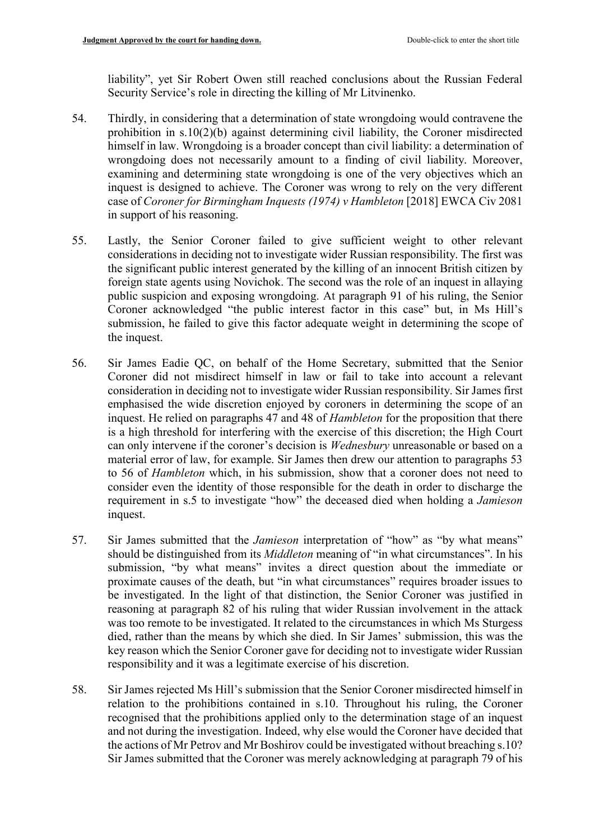liability", yet Sir Robert Owen still reached conclusions about the Russian Federal Security Service's role in directing the killing of Mr Litvinenko.

- 54. Thirdly, in considering that a determination of state wrongdoing would contravene the prohibition in s.10(2)(b) against determining civil liability, the Coroner misdirected himself in law. Wrongdoing is a broader concept than civil liability: a determination of wrongdoing does not necessarily amount to a finding of civil liability. Moreover, examining and determining state wrongdoing is one of the very objectives which an inquest is designed to achieve. The Coroner was wrong to rely on the very different case of *Coroner for Birmingham Inquests (1974) v Hambleton* [2018] EWCA Civ 2081 in support of his reasoning.
- 55. Lastly, the Senior Coroner failed to give sufficient weight to other relevant considerations in deciding not to investigate wider Russian responsibility. The first was the significant public interest generated by the killing of an innocent British citizen by foreign state agents using Novichok. The second was the role of an inquest in allaying public suspicion and exposing wrongdoing. At paragraph 91 of his ruling, the Senior Coroner acknowledged "the public interest factor in this case" but, in Ms Hill's submission, he failed to give this factor adequate weight in determining the scope of the inquest.
- 56. Sir James Eadie QC, on behalf of the Home Secretary, submitted that the Senior Coroner did not misdirect himself in law or fail to take into account a relevant consideration in deciding not to investigate wider Russian responsibility. Sir James first emphasised the wide discretion enjoyed by coroners in determining the scope of an inquest. He relied on paragraphs 47 and 48 of *Hambleton* for the proposition that there is a high threshold for interfering with the exercise of this discretion; the High Court can only intervene if the coroner's decision is *Wednesbury* unreasonable or based on a material error of law, for example. Sir James then drew our attention to paragraphs 53 to 56 of *Hambleton* which, in his submission, show that a coroner does not need to consider even the identity of those responsible for the death in order to discharge the requirement in s.5 to investigate "how" the deceased died when holding a *Jamieson*  inquest.
- 57. Sir James submitted that the *Jamieson* interpretation of "how" as "by what means" should be distinguished from its *Middleton* meaning of "in what circumstances". In his submission, "by what means" invites a direct question about the immediate or proximate causes of the death, but "in what circumstances" requires broader issues to be investigated. In the light of that distinction, the Senior Coroner was justified in reasoning at paragraph 82 of his ruling that wider Russian involvement in the attack was too remote to be investigated. It related to the circumstances in which Ms Sturgess died, rather than the means by which she died. In Sir James' submission, this was the key reason which the Senior Coroner gave for deciding not to investigate wider Russian responsibility and it was a legitimate exercise of his discretion.
- 58. Sir James rejected Ms Hill's submission that the Senior Coroner misdirected himself in relation to the prohibitions contained in s.10. Throughout his ruling, the Coroner recognised that the prohibitions applied only to the determination stage of an inquest and not during the investigation. Indeed, why else would the Coroner have decided that the actions of Mr Petrov and Mr Boshirov could be investigated without breaching s.10? Sir James submitted that the Coroner was merely acknowledging at paragraph 79 of his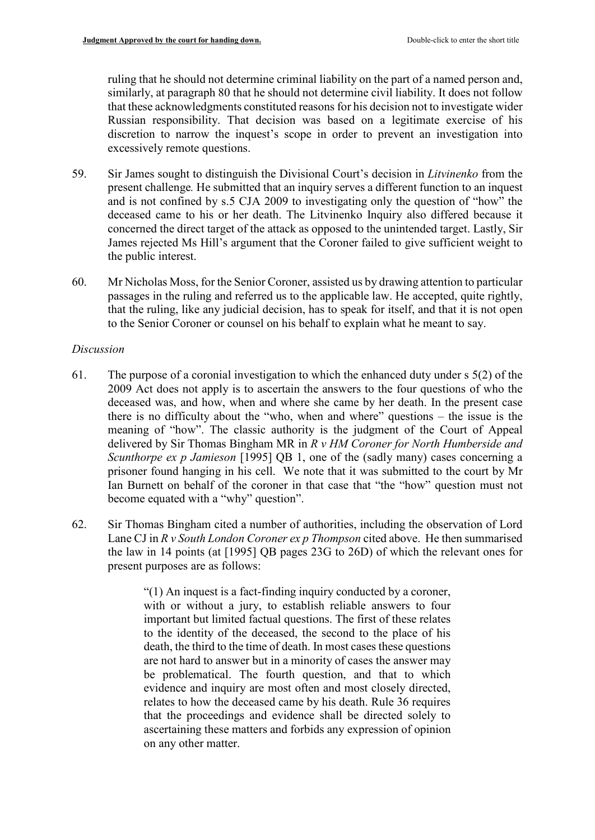ruling that he should not determine criminal liability on the part of a named person and, similarly, at paragraph 80 that he should not determine civil liability. It does not follow that these acknowledgments constituted reasons for his decision not to investigate wider Russian responsibility. That decision was based on a legitimate exercise of his discretion to narrow the inquest's scope in order to prevent an investigation into excessively remote questions.

- 59. Sir James sought to distinguish the Divisional Court's decision in *Litvinenko* from the present challenge*.* He submitted that an inquiry serves a different function to an inquest and is not confined by s.5 CJA 2009 to investigating only the question of "how" the deceased came to his or her death. The Litvinenko Inquiry also differed because it concerned the direct target of the attack as opposed to the unintended target. Lastly, Sir James rejected Ms Hill's argument that the Coroner failed to give sufficient weight to the public interest.
- 60. Mr Nicholas Moss, for the Senior Coroner, assisted us by drawing attention to particular passages in the ruling and referred us to the applicable law. He accepted, quite rightly, that the ruling, like any judicial decision, has to speak for itself, and that it is not open to the Senior Coroner or counsel on his behalf to explain what he meant to say.

# *Discussion*

- 61. The purpose of a coronial investigation to which the enhanced duty under s 5(2) of the 2009 Act does not apply is to ascertain the answers to the four questions of who the deceased was, and how, when and where she came by her death. In the present case there is no difficulty about the "who, when and where" questions – the issue is the meaning of "how". The classic authority is the judgment of the Court of Appeal delivered by Sir Thomas Bingham MR in *R v HM Coroner for North Humberside and Scunthorpe ex p Jamieson* [1995] QB 1, one of the (sadly many) cases concerning a prisoner found hanging in his cell. We note that it was submitted to the court by Mr Ian Burnett on behalf of the coroner in that case that "the "how" question must not become equated with a "why" question".
- 62. Sir Thomas Bingham cited a number of authorities, including the observation of Lord Lane CJ in *R v South London Coroner ex p Thompson* cited above. He then summarised the law in 14 points (at [1995] QB pages 23G to 26D) of which the relevant ones for present purposes are as follows:

"(1) An inquest is a fact-finding inquiry conducted by a coroner, with or without a jury, to establish reliable answers to four important but limited factual questions. The first of these relates to the identity of the deceased, the second to the place of his death, the third to the time of death. In most cases these questions are not hard to answer but in a minority of cases the answer may be problematical. The fourth question, and that to which evidence and inquiry are most often and most closely directed, relates to how the deceased came by his death. Rule 36 requires that the proceedings and evidence shall be directed solely to ascertaining these matters and forbids any expression of opinion on any other matter.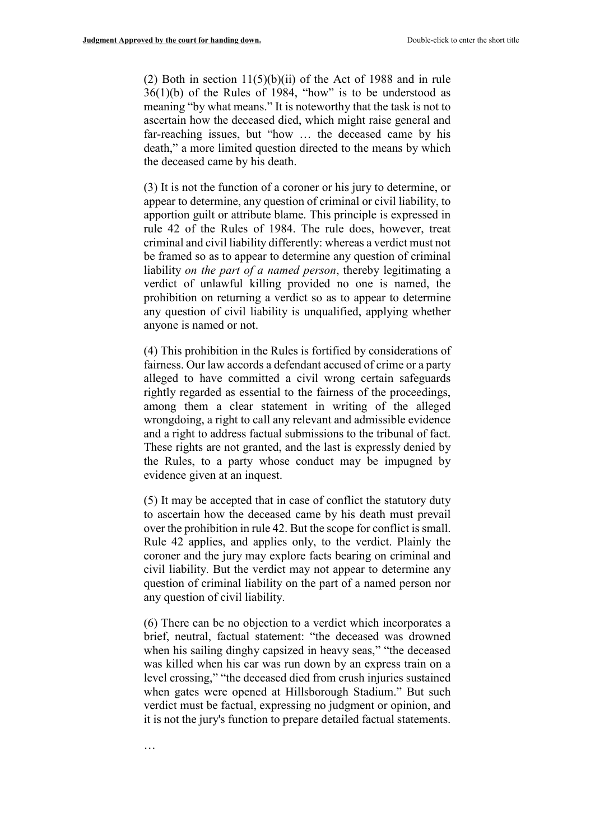(2) Both in section  $11(5)(b)(ii)$  of the Act of 1988 and in rule  $36(1)(b)$  of the Rules of 1984, "how" is to be understood as meaning "by what means." It is noteworthy that the task is not to ascertain how the deceased died, which might raise general and far-reaching issues, but "how … the deceased came by his death," a more limited question directed to the means by which the deceased came by his death.

(3) It is not the function of a coroner or his jury to determine, or appear to determine, any question of criminal or civil liability, to apportion guilt or attribute blame. This principle is expressed in rule 42 of the Rules of 1984. The rule does, however, treat criminal and civil liability differently: whereas a verdict must not be framed so as to appear to determine any question of criminal liability *on the part of a named person*, thereby legitimating a verdict of unlawful killing provided no one is named, the prohibition on returning a verdict so as to appear to determine any question of civil liability is unqualified, applying whether anyone is named or not.

(4) This prohibition in the Rules is fortified by considerations of fairness. Our law accords a defendant accused of crime or a party alleged to have committed a civil wrong certain safeguards rightly regarded as essential to the fairness of the proceedings, among them a clear statement in writing of the alleged wrongdoing, a right to call any relevant and admissible evidence and a right to address factual submissions to the tribunal of fact. These rights are not granted, and the last is expressly denied by the Rules, to a party whose conduct may be impugned by evidence given at an inquest.

(5) It may be accepted that in case of conflict the statutory duty to ascertain how the deceased came by his death must prevail over the prohibition in rule 42. But the scope for conflict is small. Rule 42 applies, and applies only, to the verdict. Plainly the coroner and the jury may explore facts bearing on criminal and civil liability. But the verdict may not appear to determine any question of criminal liability on the part of a named person nor any question of civil liability.

(6) There can be no objection to a verdict which incorporates a brief, neutral, factual statement: "the deceased was drowned when his sailing dinghy capsized in heavy seas," "the deceased was killed when his car was run down by an express train on a level crossing," "the deceased died from crush injuries sustained when gates were opened at Hillsborough Stadium." But such verdict must be factual, expressing no judgment or opinion, and it is not the jury's function to prepare detailed factual statements.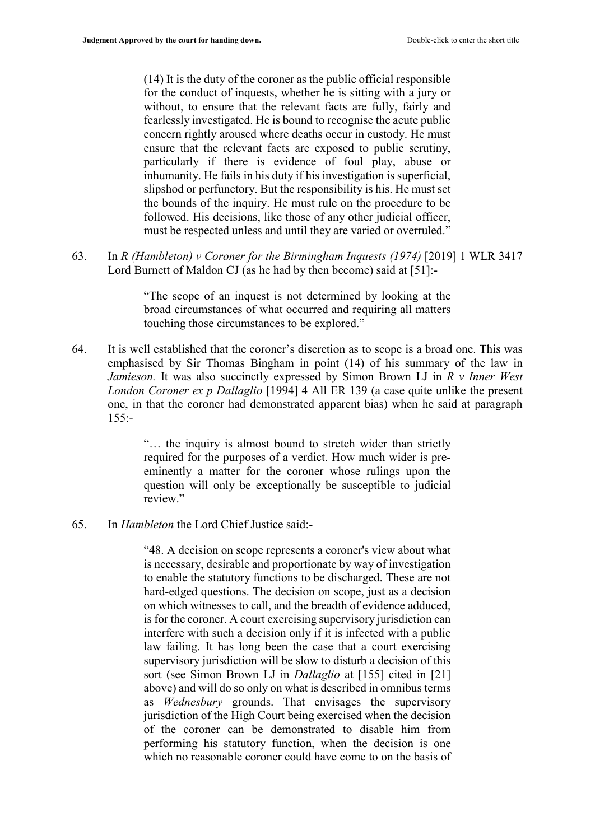(14) It is the duty of the coroner as the public official responsible for the conduct of inquests, whether he is sitting with a jury or without, to ensure that the relevant facts are fully, fairly and fearlessly investigated. He is bound to recognise the acute public concern rightly aroused where deaths occur in custody. He must ensure that the relevant facts are exposed to public scrutiny, particularly if there is evidence of foul play, abuse or inhumanity. He fails in his duty if his investigation is superficial, slipshod or perfunctory. But the responsibility is his. He must set the bounds of the inquiry. He must rule on the procedure to be followed. His decisions, like those of any other judicial officer, must be respected unless and until they are varied or overruled."

63. In *R (Hambleton) v Coroner for the Birmingham Inquests (1974)* [2019] 1 WLR 3417 Lord Burnett of Maldon CJ (as he had by then become) said at [51]:-

> "The scope of an inquest is not determined by looking at the broad circumstances of what occurred and requiring all matters touching those circumstances to be explored."

64. It is well established that the coroner's discretion as to scope is a broad one. This was emphasised by Sir Thomas Bingham in point (14) of his summary of the law in *Jamieson.* It was also succinctly expressed by Simon Brown LJ in *R v Inner West London Coroner ex p Dallaglio* [1994] 4 All ER 139 (a case quite unlike the present one, in that the coroner had demonstrated apparent bias) when he said at paragraph  $155: -$ 

> "… the inquiry is almost bound to stretch wider than strictly required for the purposes of a verdict. How much wider is preeminently a matter for the coroner whose rulings upon the question will only be exceptionally be susceptible to judicial review."

65. In *Hambleton* the Lord Chief Justice said:-

"48. A decision on scope represents a coroner's view about what is necessary, desirable and proportionate by way of investigation to enable the statutory functions to be discharged. These are not hard-edged questions. The decision on scope, just as a decision on which witnesses to call, and the breadth of evidence adduced, is for the coroner. A court exercising supervisory jurisdiction can interfere with such a decision only if it is infected with a public law failing. It has long been the case that a court exercising supervisory jurisdiction will be slow to disturb a decision of this sort (see Simon Brown LJ in *Dallaglio* at [155] cited in [21] above) and will do so only on what is described in omnibus terms as *Wednesbury* grounds. That envisages the supervisory jurisdiction of the High Court being exercised when the decision of the coroner can be demonstrated to disable him from performing his statutory function, when the decision is one which no reasonable coroner could have come to on the basis of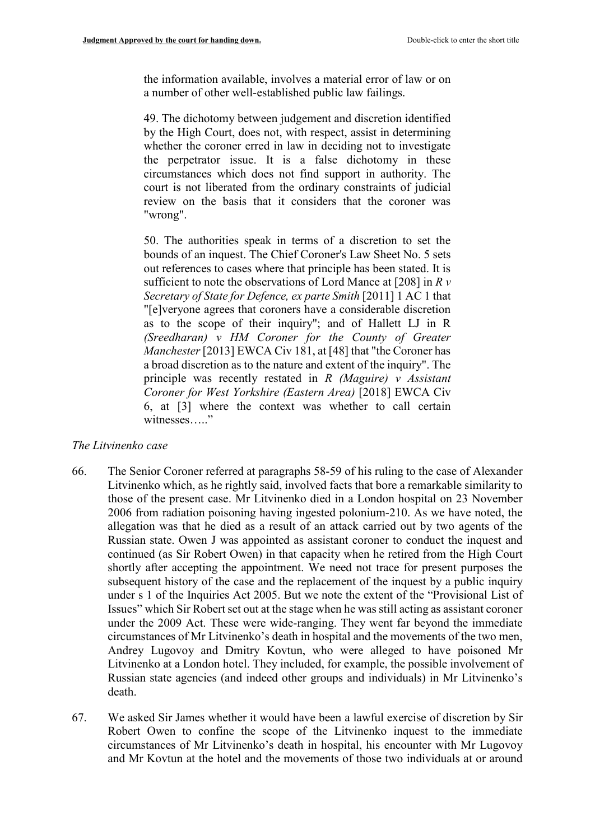the information available, involves a material error of law or on a number of other well-established public law failings.

49. The dichotomy between judgement and discretion identified by the High Court, does not, with respect, assist in determining whether the coroner erred in law in deciding not to investigate the perpetrator issue. It is a false dichotomy in these circumstances which does not find support in authority. The court is not liberated from the ordinary constraints of judicial review on the basis that it considers that the coroner was "wrong".

50. The authorities speak in terms of a discretion to set the bounds of an inquest. The Chief Coroner's Law Sheet No. 5 sets out references to cases where that principle has been stated. It is sufficient to note the observations of Lord Mance at [208] in *R v Secretary of State for Defence, ex parte Smith* [2011] 1 AC 1 that "[e]veryone agrees that coroners have a considerable discretion as to the scope of their inquiry"; and of Hallett LJ in R *(Sreedharan) v HM Coroner for the County of Greater Manchester* [2013] EWCA Civ 181, at [48] that "the Coroner has a broad discretion as to the nature and extent of the inquiry". The principle was recently restated in *R (Maguire) v Assistant Coroner for West Yorkshire (Eastern Area)* [2018] EWCA Civ 6, at [3] where the context was whether to call certain witnesses....."

### *The Litvinenko case*

- 66. The Senior Coroner referred at paragraphs 58-59 of his ruling to the case of Alexander Litvinenko which, as he rightly said, involved facts that bore a remarkable similarity to those of the present case. Mr Litvinenko died in a London hospital on 23 November 2006 from radiation poisoning having ingested polonium-210. As we have noted, the allegation was that he died as a result of an attack carried out by two agents of the Russian state. Owen J was appointed as assistant coroner to conduct the inquest and continued (as Sir Robert Owen) in that capacity when he retired from the High Court shortly after accepting the appointment. We need not trace for present purposes the subsequent history of the case and the replacement of the inquest by a public inquiry under s 1 of the Inquiries Act 2005. But we note the extent of the "Provisional List of Issues" which Sir Robert set out at the stage when he was still acting as assistant coroner under the 2009 Act. These were wide-ranging. They went far beyond the immediate circumstances of Mr Litvinenko's death in hospital and the movements of the two men, Andrey Lugovoy and Dmitry Kovtun, who were alleged to have poisoned Mr Litvinenko at a London hotel. They included, for example, the possible involvement of Russian state agencies (and indeed other groups and individuals) in Mr Litvinenko's death.
- 67. We asked Sir James whether it would have been a lawful exercise of discretion by Sir Robert Owen to confine the scope of the Litvinenko inquest to the immediate circumstances of Mr Litvinenko's death in hospital, his encounter with Mr Lugovoy and Mr Kovtun at the hotel and the movements of those two individuals at or around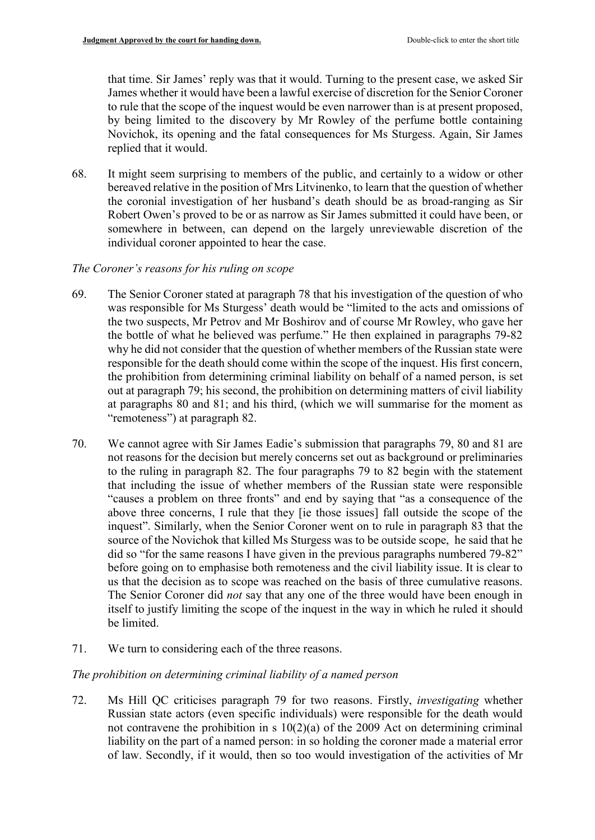that time. Sir James' reply was that it would. Turning to the present case, we asked Sir James whether it would have been a lawful exercise of discretion for the Senior Coroner to rule that the scope of the inquest would be even narrower than is at present proposed, by being limited to the discovery by Mr Rowley of the perfume bottle containing Novichok, its opening and the fatal consequences for Ms Sturgess. Again, Sir James replied that it would.

68. It might seem surprising to members of the public, and certainly to a widow or other bereaved relative in the position of Mrs Litvinenko, to learn that the question of whether the coronial investigation of her husband's death should be as broad-ranging as Sir Robert Owen's proved to be or as narrow as Sir James submitted it could have been, or somewhere in between, can depend on the largely unreviewable discretion of the individual coroner appointed to hear the case.

# *The Coroner's reasons for his ruling on scope*

- 69. The Senior Coroner stated at paragraph 78 that his investigation of the question of who was responsible for Ms Sturgess' death would be "limited to the acts and omissions of the two suspects, Mr Petrov and Mr Boshirov and of course Mr Rowley, who gave her the bottle of what he believed was perfume." He then explained in paragraphs 79-82 why he did not consider that the question of whether members of the Russian state were responsible for the death should come within the scope of the inquest. His first concern, the prohibition from determining criminal liability on behalf of a named person, is set out at paragraph 79; his second, the prohibition on determining matters of civil liability at paragraphs 80 and 81; and his third, (which we will summarise for the moment as "remoteness") at paragraph 82.
- 70. We cannot agree with Sir James Eadie's submission that paragraphs 79, 80 and 81 are not reasons for the decision but merely concerns set out as background or preliminaries to the ruling in paragraph 82. The four paragraphs 79 to 82 begin with the statement that including the issue of whether members of the Russian state were responsible "causes a problem on three fronts" and end by saying that "as a consequence of the above three concerns, I rule that they [ie those issues] fall outside the scope of the inquest". Similarly, when the Senior Coroner went on to rule in paragraph 83 that the source of the Novichok that killed Ms Sturgess was to be outside scope, he said that he did so "for the same reasons I have given in the previous paragraphs numbered 79-82" before going on to emphasise both remoteness and the civil liability issue. It is clear to us that the decision as to scope was reached on the basis of three cumulative reasons. The Senior Coroner did *not* say that any one of the three would have been enough in itself to justify limiting the scope of the inquest in the way in which he ruled it should be limited.
- 71. We turn to considering each of the three reasons.

# *The prohibition on determining criminal liability of a named person*

72. Ms Hill QC criticises paragraph 79 for two reasons. Firstly, *investigating* whether Russian state actors (even specific individuals) were responsible for the death would not contravene the prohibition in s  $10(2)(a)$  of the 2009 Act on determining criminal liability on the part of a named person: in so holding the coroner made a material error of law. Secondly, if it would, then so too would investigation of the activities of Mr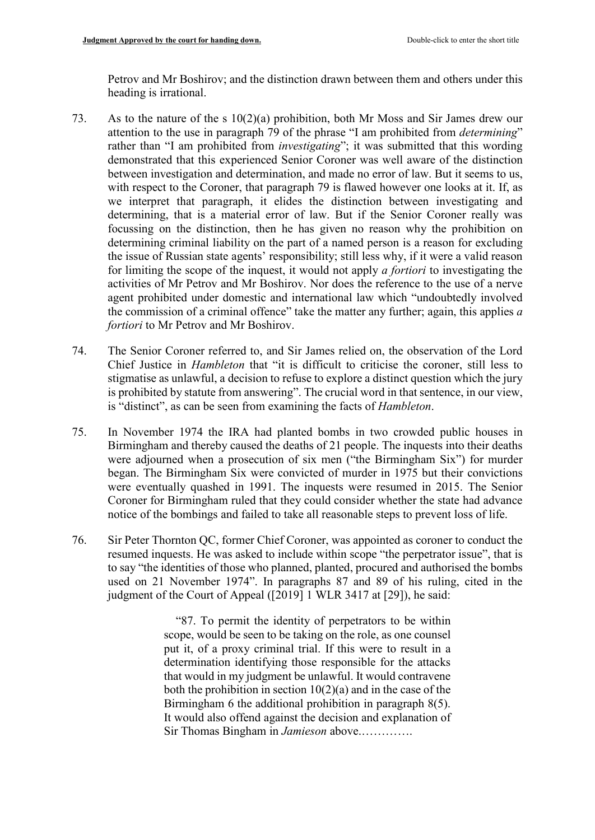Petrov and Mr Boshirov; and the distinction drawn between them and others under this heading is irrational.

- 73. As to the nature of the s 10(2)(a) prohibition, both Mr Moss and Sir James drew our attention to the use in paragraph 79 of the phrase "I am prohibited from *determining*" rather than "I am prohibited from *investigating*"; it was submitted that this wording demonstrated that this experienced Senior Coroner was well aware of the distinction between investigation and determination, and made no error of law. But it seems to us, with respect to the Coroner, that paragraph 79 is flawed however one looks at it. If, as we interpret that paragraph, it elides the distinction between investigating and determining, that is a material error of law. But if the Senior Coroner really was focussing on the distinction, then he has given no reason why the prohibition on determining criminal liability on the part of a named person is a reason for excluding the issue of Russian state agents' responsibility; still less why, if it were a valid reason for limiting the scope of the inquest, it would not apply *a fortiori* to investigating the activities of Mr Petrov and Mr Boshirov. Nor does the reference to the use of a nerve agent prohibited under domestic and international law which "undoubtedly involved the commission of a criminal offence" take the matter any further; again, this applies *a fortiori* to Mr Petrov and Mr Boshirov.
- 74. The Senior Coroner referred to, and Sir James relied on, the observation of the Lord Chief Justice in *Hambleton* that "it is difficult to criticise the coroner, still less to stigmatise as unlawful, a decision to refuse to explore a distinct question which the jury is prohibited by statute from answering". The crucial word in that sentence, in our view, is "distinct", as can be seen from examining the facts of *Hambleton*.
- 75. In November 1974 the IRA had planted bombs in two crowded public houses in Birmingham and thereby caused the deaths of 21 people. The inquests into their deaths were adjourned when a prosecution of six men ("the Birmingham Six") for murder began. The Birmingham Six were convicted of murder in 1975 but their convictions were eventually quashed in 1991. The inquests were resumed in 2015. The Senior Coroner for Birmingham ruled that they could consider whether the state had advance notice of the bombings and failed to take all reasonable steps to prevent loss of life.
- 76. Sir Peter Thornton QC, former Chief Coroner, was appointed as coroner to conduct the resumed inquests. He was asked to include within scope "the perpetrator issue", that is to say "the identities of those who planned, planted, procured and authorised the bombs used on 21 November 1974". In paragraphs 87 and 89 of his ruling, cited in the judgment of the Court of Appeal ([2019] 1 WLR 3417 at [29]), he said:

 "87. To permit the identity of perpetrators to be within scope, would be seen to be taking on the role, as one counsel put it, of a proxy criminal trial. If this were to result in a determination identifying those responsible for the attacks that would in my judgment be unlawful. It would contravene both the prohibition in section  $10(2)(a)$  and in the case of the Birmingham 6 the additional prohibition in paragraph 8(5). It would also offend against the decision and explanation of Sir Thomas Bingham in *Jamieson* above.………….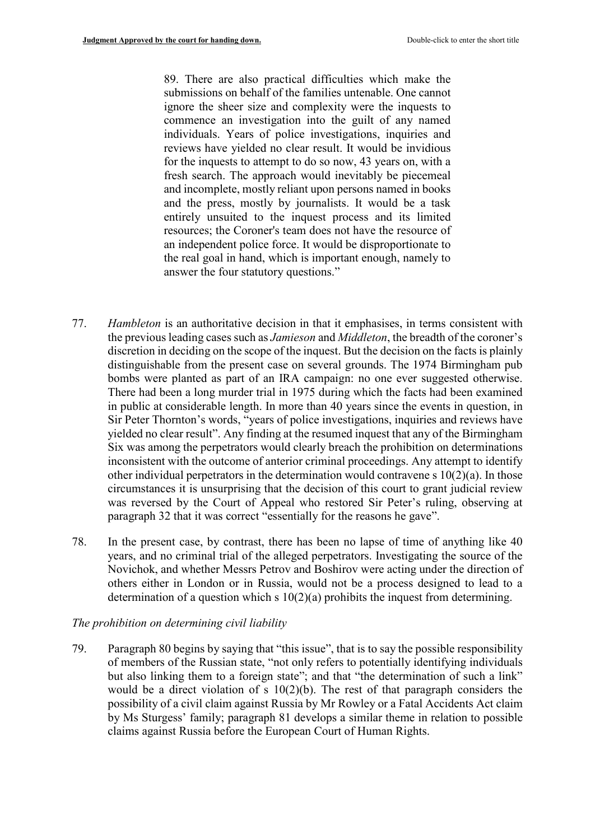89. There are also practical difficulties which make the submissions on behalf of the families untenable. One cannot ignore the sheer size and complexity were the inquests to commence an investigation into the guilt of any named individuals. Years of police investigations, inquiries and reviews have yielded no clear result. It would be invidious for the inquests to attempt to do so now, 43 years on, with a fresh search. The approach would inevitably be piecemeal and incomplete, mostly reliant upon persons named in books and the press, mostly by journalists. It would be a task entirely unsuited to the inquest process and its limited resources; the Coroner's team does not have the resource of an independent police force. It would be disproportionate to the real goal in hand, which is important enough, namely to answer the four statutory questions."

- 77. *Hambleton* is an authoritative decision in that it emphasises, in terms consistent with the previous leading cases such as *Jamieson* and *Middleton*, the breadth of the coroner's discretion in deciding on the scope of the inquest. But the decision on the facts is plainly distinguishable from the present case on several grounds. The 1974 Birmingham pub bombs were planted as part of an IRA campaign: no one ever suggested otherwise. There had been a long murder trial in 1975 during which the facts had been examined in public at considerable length. In more than 40 years since the events in question, in Sir Peter Thornton's words, "years of police investigations, inquiries and reviews have yielded no clear result". Any finding at the resumed inquest that any of the Birmingham Six was among the perpetrators would clearly breach the prohibition on determinations inconsistent with the outcome of anterior criminal proceedings. Any attempt to identify other individual perpetrators in the determination would contravene s 10(2)(a). In those circumstances it is unsurprising that the decision of this court to grant judicial review was reversed by the Court of Appeal who restored Sir Peter's ruling, observing at paragraph 32 that it was correct "essentially for the reasons he gave".
- 78. In the present case, by contrast, there has been no lapse of time of anything like 40 years, and no criminal trial of the alleged perpetrators. Investigating the source of the Novichok, and whether Messrs Petrov and Boshirov were acting under the direction of others either in London or in Russia, would not be a process designed to lead to a determination of a question which s 10(2)(a) prohibits the inquest from determining.

### *The prohibition on determining civil liability*

79. Paragraph 80 begins by saying that "this issue", that is to say the possible responsibility of members of the Russian state, "not only refers to potentially identifying individuals but also linking them to a foreign state"; and that "the determination of such a link" would be a direct violation of s  $10(2)(b)$ . The rest of that paragraph considers the possibility of a civil claim against Russia by Mr Rowley or a Fatal Accidents Act claim by Ms Sturgess' family; paragraph 81 develops a similar theme in relation to possible claims against Russia before the European Court of Human Rights.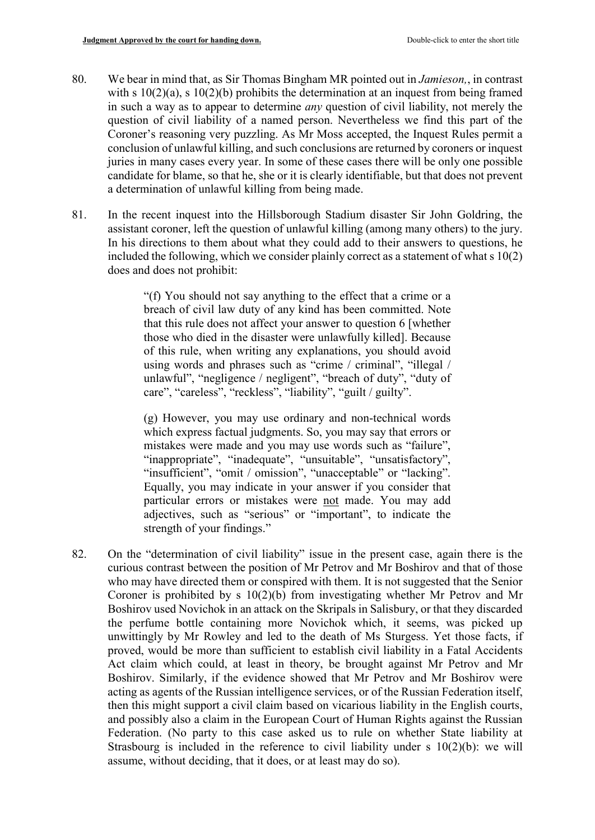- 80. We bear in mind that, as Sir Thomas Bingham MR pointed out in *Jamieson,*, in contrast with s  $10(2)(a)$ , s  $10(2)(b)$  prohibits the determination at an inquest from being framed in such a way as to appear to determine *any* question of civil liability, not merely the question of civil liability of a named person. Nevertheless we find this part of the Coroner's reasoning very puzzling. As Mr Moss accepted, the Inquest Rules permit a conclusion of unlawful killing, and such conclusions are returned by coroners or inquest juries in many cases every year. In some of these cases there will be only one possible candidate for blame, so that he, she or it is clearly identifiable, but that does not prevent a determination of unlawful killing from being made.
- 81. In the recent inquest into the Hillsborough Stadium disaster Sir John Goldring, the assistant coroner, left the question of unlawful killing (among many others) to the jury. In his directions to them about what they could add to their answers to questions, he included the following, which we consider plainly correct as a statement of what s 10(2) does and does not prohibit:

"(f) You should not say anything to the effect that a crime or a breach of civil law duty of any kind has been committed. Note that this rule does not affect your answer to question 6 [whether those who died in the disaster were unlawfully killed]. Because of this rule, when writing any explanations, you should avoid using words and phrases such as "crime / criminal", "illegal / unlawful", "negligence / negligent", "breach of duty", "duty of care", "careless", "reckless", "liability", "guilt / guilty".

(g) However, you may use ordinary and non-technical words which express factual judgments. So, you may say that errors or mistakes were made and you may use words such as "failure", "inappropriate", "inadequate", "unsuitable", "unsatisfactory", "insufficient", "omit / omission", "unacceptable" or "lacking". Equally, you may indicate in your answer if you consider that particular errors or mistakes were not made. You may add adjectives, such as "serious" or "important", to indicate the strength of your findings."

82. On the "determination of civil liability" issue in the present case, again there is the curious contrast between the position of Mr Petrov and Mr Boshirov and that of those who may have directed them or conspired with them. It is not suggested that the Senior Coroner is prohibited by s 10(2)(b) from investigating whether Mr Petrov and Mr Boshirov used Novichok in an attack on the Skripals in Salisbury, or that they discarded the perfume bottle containing more Novichok which, it seems, was picked up unwittingly by Mr Rowley and led to the death of Ms Sturgess. Yet those facts, if proved, would be more than sufficient to establish civil liability in a Fatal Accidents Act claim which could, at least in theory, be brought against Mr Petrov and Mr Boshirov. Similarly, if the evidence showed that Mr Petrov and Mr Boshirov were acting as agents of the Russian intelligence services, or of the Russian Federation itself, then this might support a civil claim based on vicarious liability in the English courts, and possibly also a claim in the European Court of Human Rights against the Russian Federation. (No party to this case asked us to rule on whether State liability at Strasbourg is included in the reference to civil liability under  $s \ 10(2)(b)$ : we will assume, without deciding, that it does, or at least may do so).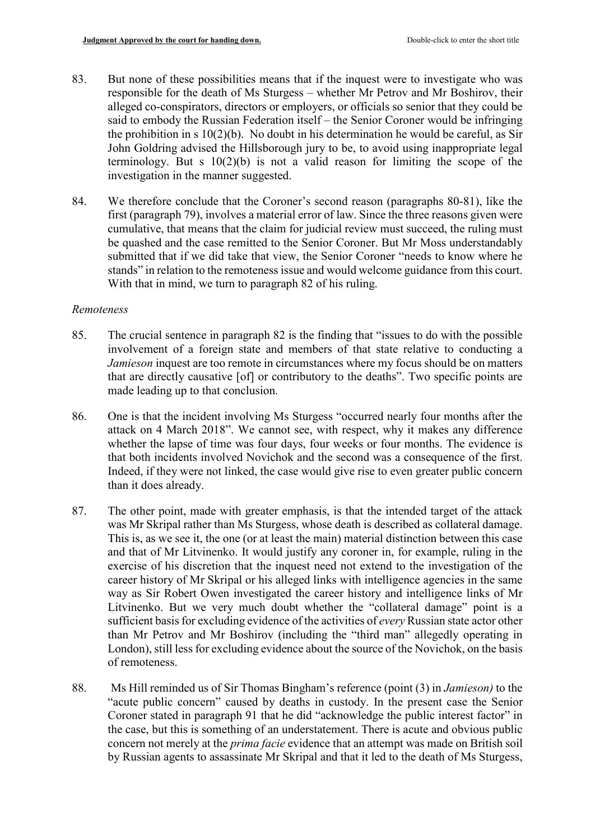- 83. But none of these possibilities means that if the inquest were to investigate who was responsible for the death of Ms Sturgess – whether Mr Petrov and Mr Boshirov, their alleged co-conspirators, directors or employers, or officials so senior that they could be said to embody the Russian Federation itself – the Senior Coroner would be infringing the prohibition in s  $10(2)(b)$ . No doubt in his determination he would be careful, as Sir John Goldring advised the Hillsborough jury to be, to avoid using inappropriate legal terminology. But s  $10(2)(b)$  is not a valid reason for limiting the scope of the investigation in the manner suggested.
- 84. We therefore conclude that the Coroner's second reason (paragraphs 80-81), like the first (paragraph 79), involves a material error of law. Since the three reasons given were cumulative, that means that the claim for judicial review must succeed, the ruling must be quashed and the case remitted to the Senior Coroner. But Mr Moss understandably submitted that if we did take that view, the Senior Coroner "needs to know where he stands" in relation to the remoteness issue and would welcome guidance from this court. With that in mind, we turn to paragraph 82 of his ruling.

# *Remoteness*

- 85. The crucial sentence in paragraph 82 is the finding that "issues to do with the possible involvement of a foreign state and members of that state relative to conducting a *Jamieson* inquest are too remote in circumstances where my focus should be on matters that are directly causative [of] or contributory to the deaths". Two specific points are made leading up to that conclusion.
- 86. One is that the incident involving Ms Sturgess "occurred nearly four months after the attack on 4 March 2018". We cannot see, with respect, why it makes any difference whether the lapse of time was four days, four weeks or four months. The evidence is that both incidents involved Novichok and the second was a consequence of the first. Indeed, if they were not linked, the case would give rise to even greater public concern than it does already.
- 87. The other point, made with greater emphasis, is that the intended target of the attack was Mr Skripal rather than Ms Sturgess, whose death is described as collateral damage. This is, as we see it, the one (or at least the main) material distinction between this case and that of Mr Litvinenko. It would justify any coroner in, for example, ruling in the exercise of his discretion that the inquest need not extend to the investigation of the career history of Mr Skripal or his alleged links with intelligence agencies in the same way as Sir Robert Owen investigated the career history and intelligence links of Mr Litvinenko. But we very much doubt whether the "collateral damage" point is a sufficient basis for excluding evidence of the activities of *every* Russian state actor other than Mr Petrov and Mr Boshirov (including the "third man" allegedly operating in London), still less for excluding evidence about the source of the Novichok, on the basis of remoteness.
- 88. Ms Hill reminded us of Sir Thomas Bingham's reference (point (3) in *Jamieson)* to the "acute public concern" caused by deaths in custody. In the present case the Senior Coroner stated in paragraph 91 that he did "acknowledge the public interest factor" in the case, but this is something of an understatement. There is acute and obvious public concern not merely at the *prima facie* evidence that an attempt was made on British soil by Russian agents to assassinate Mr Skripal and that it led to the death of Ms Sturgess,